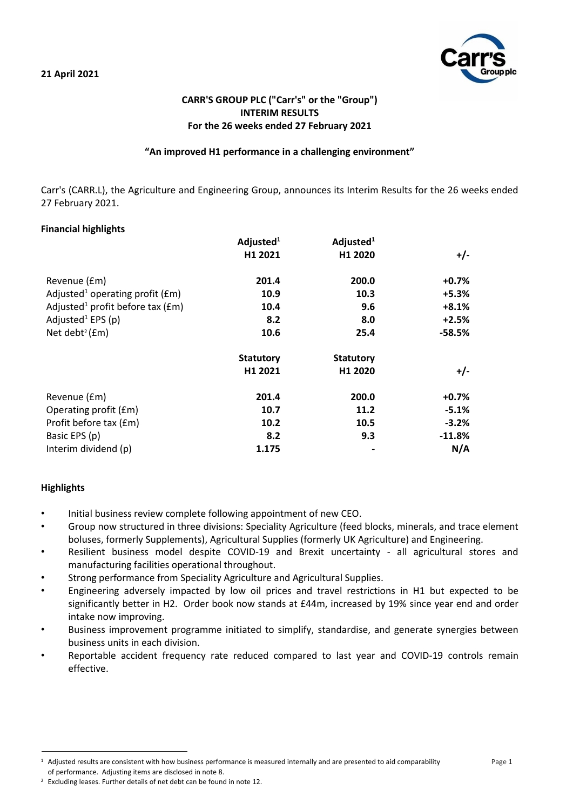

# **CARR'S GROUP PLC ("Carr's" or the "Group") INTERIM RESULTS For the 26 weeks ended 27 February 2021**

## **"An improved H1 performance in a challenging environment"**

Carr's (CARR.L), the Agriculture and Engineering Group, announces its Interim Results for the 26 weeks ended 27 February 2021.

## **Financial highlights**

|                                                  | Adjusted <sup>1</sup> | Adjusted $1$        |          |
|--------------------------------------------------|-----------------------|---------------------|----------|
|                                                  | H1 2021               | H1 2020             | $+/-$    |
| Revenue (£m)                                     | 201.4                 | 200.0               | $+0.7%$  |
| Adjusted <sup>1</sup> operating profit ( $Em$ )  | 10.9                  | 10.3                | $+5.3%$  |
| Adjusted <sup>1</sup> profit before tax ( $Em$ ) | 10.4                  | 9.6                 | $+8.1%$  |
| Adjusted <sup>1</sup> EPS (p)                    | 8.2                   | 8.0                 | $+2.5%$  |
| Net debt <sup>2</sup> ( $Em$ )                   | 10.6                  | 25.4                | $-58.5%$ |
|                                                  | <b>Statutory</b>      | <b>Statutory</b>    |          |
|                                                  | H1 2021               | H <sub>1</sub> 2020 | $+/-$    |
| Revenue (£m)                                     | 201.4                 | 200.0               | $+0.7%$  |
| Operating profit (£m)                            | 10.7                  | 11.2                | $-5.1%$  |
| Profit before tax (£m)                           | 10.2                  | 10.5                | $-3.2%$  |
| Basic EPS (p)                                    | 8.2                   | 9.3                 | $-11.8%$ |
| Interim dividend (p)                             | 1.175                 |                     | N/A      |

## **Highlights**

- Initial business review complete following appointment of new CEO.
- Group now structured in three divisions: Speciality Agriculture (feed blocks, minerals, and trace element boluses, formerly Supplements), Agricultural Supplies (formerly UK Agriculture) and Engineering.
- Resilient business model despite COVID-19 and Brexit uncertainty all agricultural stores and manufacturing facilities operational throughout.
- Strong performance from Speciality Agriculture and Agricultural Supplies.
- Engineering adversely impacted by low oil prices and travel restrictions in H1 but expected to be significantly better in H2. Order book now stands at £44m, increased by 19% since year end and order intake now improving.
- Business improvement programme initiated to simplify, standardise, and generate synergies between business units in each division.
- Reportable accident frequency rate reduced compared to last year and COVID-19 controls remain effective.

<sup>&</sup>lt;sup>1</sup> Adjusted results are consistent with how business performance is measured internally and are presented to aid comparability Page 1 of performance. Adjusting items are disclosed in note 8.

<sup>2</sup> Excluding leases. Further details of net debt can be found in note 12.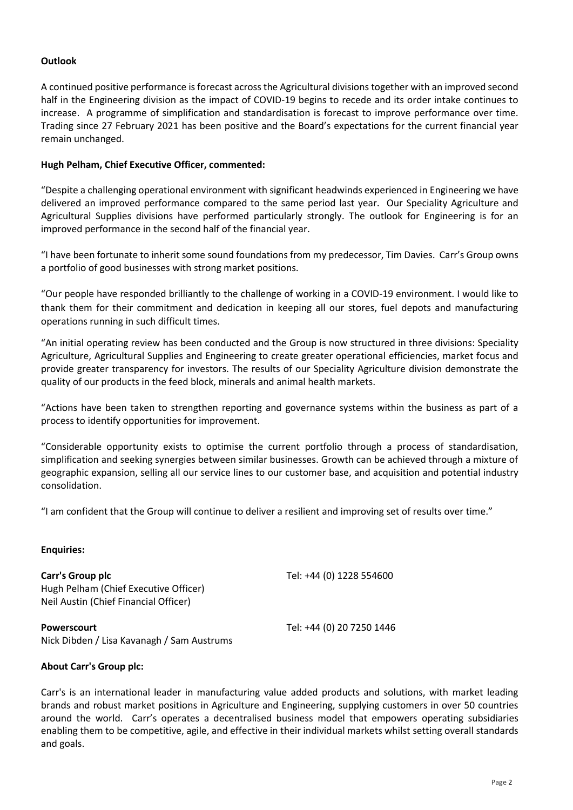# **Outlook**

A continued positive performance is forecast across the Agricultural divisions together with an improved second half in the Engineering division as the impact of COVID-19 begins to recede and its order intake continues to increase. A programme of simplification and standardisation is forecast to improve performance over time. Trading since 27 February 2021 has been positive and the Board's expectations for the current financial year remain unchanged.

## **Hugh Pelham, Chief Executive Officer, commented:**

"Despite a challenging operational environment with significant headwinds experienced in Engineering we have delivered an improved performance compared to the same period last year. Our Speciality Agriculture and Agricultural Supplies divisions have performed particularly strongly. The outlook for Engineering is for an improved performance in the second half of the financial year.

"I have been fortunate to inherit some sound foundations from my predecessor, Tim Davies. Carr's Group owns a portfolio of good businesses with strong market positions.

"Our people have responded brilliantly to the challenge of working in a COVID-19 environment. I would like to thank them for their commitment and dedication in keeping all our stores, fuel depots and manufacturing operations running in such difficult times.

"An initial operating review has been conducted and the Group is now structured in three divisions: Speciality Agriculture, Agricultural Supplies and Engineering to create greater operational efficiencies, market focus and provide greater transparency for investors. The results of our Speciality Agriculture division demonstrate the quality of our products in the feed block, minerals and animal health markets.

"Actions have been taken to strengthen reporting and governance systems within the business as part of a process to identify opportunities for improvement.

"Considerable opportunity exists to optimise the current portfolio through a process of standardisation, simplification and seeking synergies between similar businesses. Growth can be achieved through a mixture of geographic expansion, selling all our service lines to our customer base, and acquisition and potential industry consolidation.

"I am confident that the Group will continue to deliver a resilient and improving set of results over time."

## **Enquiries:**

**Carr's Group plc** Tel: +44 (0) 1228 554600 Hugh Pelham (Chief Executive Officer) Neil Austin (Chief Financial Officer)

Nick Dibden / Lisa Kavanagh / Sam Austrums

**Powerscourt** Tel: +44 (0) 20 7250 1446

## **About Carr's Group plc:**

Carr's is an international leader in manufacturing value added products and solutions, with market leading brands and robust market positions in Agriculture and Engineering, supplying customers in over 50 countries around the world. Carr's operates a decentralised business model that empowers operating subsidiaries enabling them to be competitive, agile, and effective in their individual markets whilst setting overall standards and goals.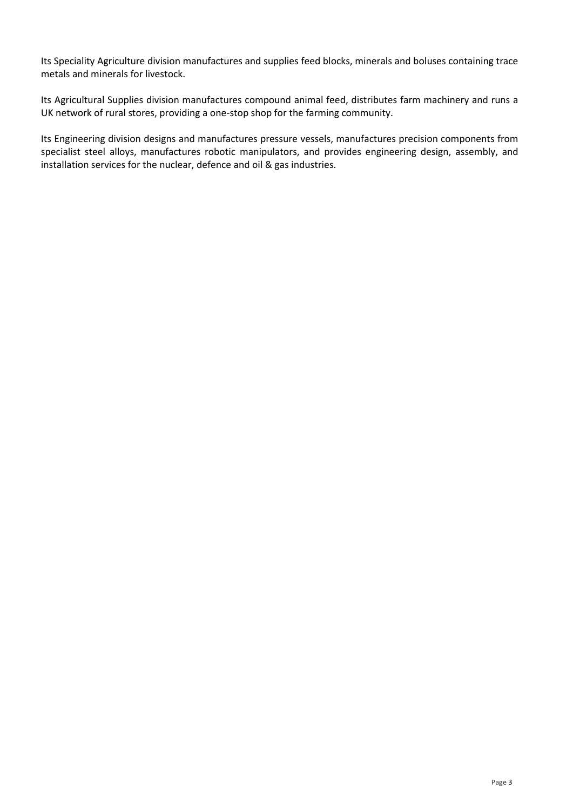Its Speciality Agriculture division manufactures and supplies feed blocks, minerals and boluses containing trace metals and minerals for livestock.

Its Agricultural Supplies division manufactures compound animal feed, distributes farm machinery and runs a UK network of rural stores, providing a one-stop shop for the farming community.

Its Engineering division designs and manufactures pressure vessels, manufactures precision components from specialist steel alloys, manufactures robotic manipulators, and provides engineering design, assembly, and installation services for the nuclear, defence and oil & gas industries.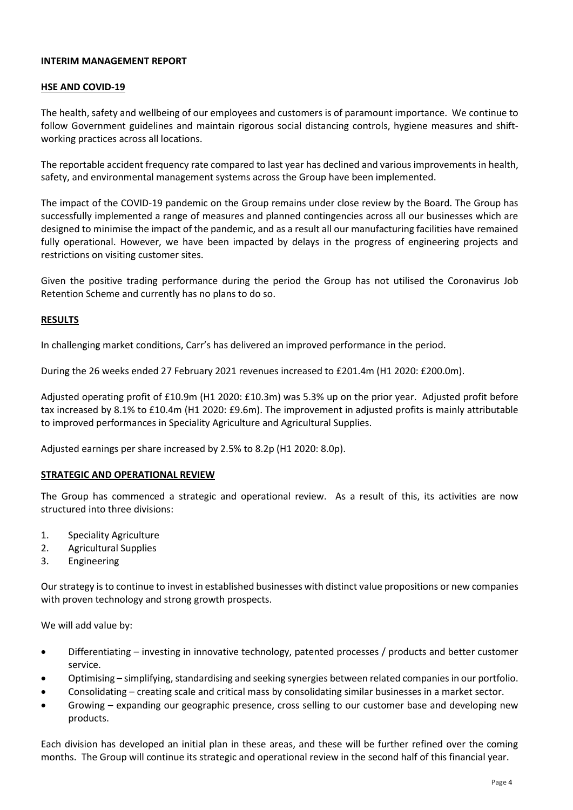## **INTERIM MANAGEMENT REPORT**

## **HSE AND COVID-19**

The health, safety and wellbeing of our employees and customers is of paramount importance. We continue to follow Government guidelines and maintain rigorous social distancing controls, hygiene measures and shiftworking practices across all locations.

The reportable accident frequency rate compared to last year has declined and various improvements in health, safety, and environmental management systems across the Group have been implemented.

The impact of the COVID-19 pandemic on the Group remains under close review by the Board. The Group has successfully implemented a range of measures and planned contingencies across all our businesses which are designed to minimise the impact of the pandemic, and as a result all our manufacturing facilities have remained fully operational. However, we have been impacted by delays in the progress of engineering projects and restrictions on visiting customer sites.

Given the positive trading performance during the period the Group has not utilised the Coronavirus Job Retention Scheme and currently has no plans to do so.

## **RESULTS**

In challenging market conditions, Carr's has delivered an improved performance in the period.

During the 26 weeks ended 27 February 2021 revenues increased to £201.4m (H1 2020: £200.0m).

Adjusted operating profit of £10.9m (H1 2020: £10.3m) was 5.3% up on the prior year. Adjusted profit before tax increased by 8.1% to £10.4m (H1 2020: £9.6m). The improvement in adjusted profits is mainly attributable to improved performances in Speciality Agriculture and Agricultural Supplies.

Adjusted earnings per share increased by 2.5% to 8.2p (H1 2020: 8.0p).

## **STRATEGIC AND OPERATIONAL REVIEW**

The Group has commenced a strategic and operational review. As a result of this, its activities are now structured into three divisions:

- 1. Speciality Agriculture
- 2. Agricultural Supplies
- 3. Engineering

Our strategy is to continue to invest in established businesses with distinct value propositions or new companies with proven technology and strong growth prospects.

We will add value by:

- Differentiating investing in innovative technology, patented processes / products and better customer service.
- Optimising simplifying, standardising and seeking synergies between related companies in our portfolio.
- Consolidating creating scale and critical mass by consolidating similar businesses in a market sector.
- Growing expanding our geographic presence, cross selling to our customer base and developing new products.

Each division has developed an initial plan in these areas, and these will be further refined over the coming months. The Group will continue its strategic and operational review in the second half of this financial year.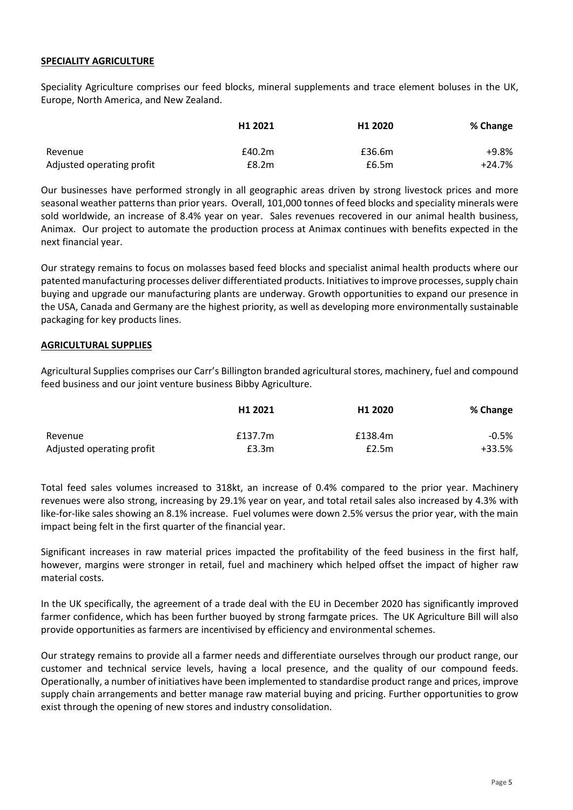## **SPECIALITY AGRICULTURE**

Speciality Agriculture comprises our feed blocks, mineral supplements and trace element boluses in the UK, Europe, North America, and New Zealand.

|                           | H <sub>1</sub> 2021 | H <sub>1</sub> 2020 | % Change |
|---------------------------|---------------------|---------------------|----------|
| Revenue                   | £40.2m              | £36.6m              | +9.8%    |
| Adjusted operating profit | E8.2m               | £6.5m               | +24.7%   |

Our businesses have performed strongly in all geographic areas driven by strong livestock prices and more seasonal weather patterns than prior years. Overall, 101,000 tonnes of feed blocks and speciality minerals were sold worldwide, an increase of 8.4% year on year. Sales revenues recovered in our animal health business, Animax. Our project to automate the production process at Animax continues with benefits expected in the next financial year.

Our strategy remains to focus on molasses based feed blocks and specialist animal health products where our patented manufacturing processes deliver differentiated products. Initiatives to improve processes, supply chain buying and upgrade our manufacturing plants are underway. Growth opportunities to expand our presence in the USA, Canada and Germany are the highest priority, as well as developing more environmentally sustainable packaging for key products lines.

## **AGRICULTURAL SUPPLIES**

Agricultural Supplies comprises our Carr's Billington branded agricultural stores, machinery, fuel and compound feed business and our joint venture business Bibby Agriculture.

|                           | H1 2021 | H <sub>1</sub> 2020 | % Change |
|---------------------------|---------|---------------------|----------|
| Revenue                   | £137.7m | £138.4m             | $-0.5%$  |
| Adjusted operating profit | £3.3m   | E2.5m               | $+33.5%$ |

Total feed sales volumes increased to 318kt, an increase of 0.4% compared to the prior year. Machinery revenues were also strong, increasing by 29.1% year on year, and total retail sales also increased by 4.3% with like-for-like sales showing an 8.1% increase. Fuel volumes were down 2.5% versus the prior year, with the main impact being felt in the first quarter of the financial year.

Significant increases in raw material prices impacted the profitability of the feed business in the first half, however, margins were stronger in retail, fuel and machinery which helped offset the impact of higher raw material costs.

In the UK specifically, the agreement of a trade deal with the EU in December 2020 has significantly improved farmer confidence, which has been further buoyed by strong farmgate prices. The UK Agriculture Bill will also provide opportunities as farmers are incentivised by efficiency and environmental schemes.

Our strategy remains to provide all a farmer needs and differentiate ourselves through our product range, our customer and technical service levels, having a local presence, and the quality of our compound feeds. Operationally, a number of initiatives have been implemented to standardise product range and prices, improve supply chain arrangements and better manage raw material buying and pricing. Further opportunities to grow exist through the opening of new stores and industry consolidation.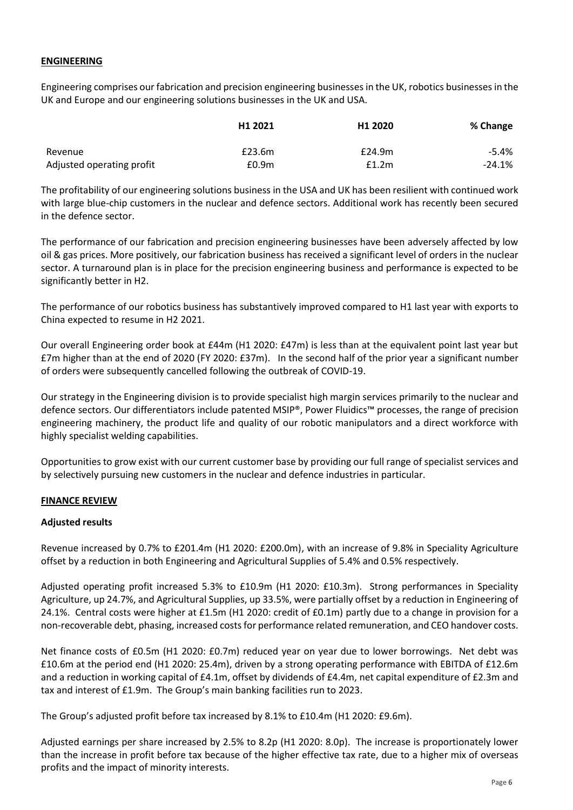## **ENGINEERING**

Engineering comprises our fabrication and precision engineering businessesin the UK, robotics businessesin the UK and Europe and our engineering solutions businesses in the UK and USA.

|                           | H <sub>1</sub> 2021 | H <sub>1</sub> 2020 | % Change |
|---------------------------|---------------------|---------------------|----------|
| Revenue                   | £23.6m              | £24.9m              | -5.4%    |
| Adjusted operating profit | £0.9 <sub>m</sub>   | f1.2m               | $-24.1%$ |

The profitability of our engineering solutions business in the USA and UK has been resilient with continued work with large blue-chip customers in the nuclear and defence sectors. Additional work has recently been secured in the defence sector.

The performance of our fabrication and precision engineering businesses have been adversely affected by low oil & gas prices. More positively, our fabrication business has received a significant level of orders in the nuclear sector. A turnaround plan is in place for the precision engineering business and performance is expected to be significantly better in H2.

The performance of our robotics business has substantively improved compared to H1 last year with exports to China expected to resume in H2 2021.

Our overall Engineering order book at £44m (H1 2020: £47m) is less than at the equivalent point last year but £7m higher than at the end of 2020 (FY 2020: £37m). In the second half of the prior year a significant number of orders were subsequently cancelled following the outbreak of COVID-19.

Our strategy in the Engineering division is to provide specialist high margin services primarily to the nuclear and defence sectors. Our differentiators include patented MSIP®, Power Fluidics™ processes, the range of precision engineering machinery, the product life and quality of our robotic manipulators and a direct workforce with highly specialist welding capabilities.

Opportunities to grow exist with our current customer base by providing our full range of specialist services and by selectively pursuing new customers in the nuclear and defence industries in particular.

# **FINANCE REVIEW**

## **Adjusted results**

Revenue increased by 0.7% to £201.4m (H1 2020: £200.0m), with an increase of 9.8% in Speciality Agriculture offset by a reduction in both Engineering and Agricultural Supplies of 5.4% and 0.5% respectively.

Adjusted operating profit increased 5.3% to £10.9m (H1 2020: £10.3m). Strong performances in Speciality Agriculture, up 24.7%, and Agricultural Supplies, up 33.5%, were partially offset by a reduction in Engineering of 24.1%. Central costs were higher at £1.5m (H1 2020: credit of £0.1m) partly due to a change in provision for a non-recoverable debt, phasing, increased costs for performance related remuneration, and CEO handover costs.

Net finance costs of £0.5m (H1 2020: £0.7m) reduced year on year due to lower borrowings. Net debt was £10.6m at the period end (H1 2020: 25.4m), driven by a strong operating performance with EBITDA of £12.6m and a reduction in working capital of £4.1m, offset by dividends of £4.4m, net capital expenditure of £2.3m and tax and interest of £1.9m. The Group's main banking facilities run to 2023.

The Group's adjusted profit before tax increased by 8.1% to £10.4m (H1 2020: £9.6m).

Adjusted earnings per share increased by 2.5% to 8.2p (H1 2020: 8.0p). The increase is proportionately lower than the increase in profit before tax because of the higher effective tax rate, due to a higher mix of overseas profits and the impact of minority interests.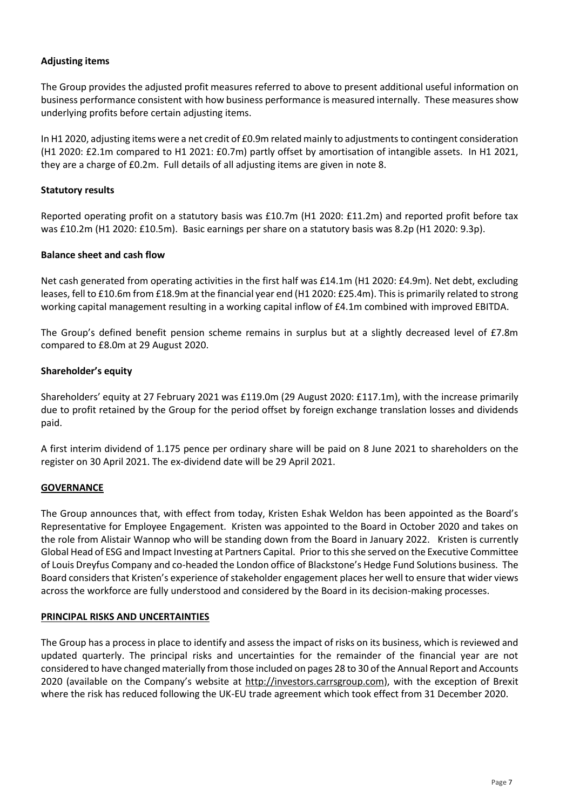# **Adjusting items**

The Group provides the adjusted profit measures referred to above to present additional useful information on business performance consistent with how business performance is measured internally. These measures show underlying profits before certain adjusting items.

In H1 2020, adjusting items were a net credit of £0.9m related mainly to adjustments to contingent consideration (H1 2020: £2.1m compared to H1 2021: £0.7m) partly offset by amortisation of intangible assets. In H1 2021, they are a charge of £0.2m. Full details of all adjusting items are given in note 8.

## **Statutory results**

Reported operating profit on a statutory basis was £10.7m (H1 2020: £11.2m) and reported profit before tax was £10.2m (H1 2020: £10.5m). Basic earnings per share on a statutory basis was 8.2p (H1 2020: 9.3p).

## **Balance sheet and cash flow**

Net cash generated from operating activities in the first half was £14.1m (H1 2020: £4.9m). Net debt, excluding leases, fell to £10.6m from £18.9m at the financial year end (H1 2020: £25.4m). This is primarily related to strong working capital management resulting in a working capital inflow of £4.1m combined with improved EBITDA.

The Group's defined benefit pension scheme remains in surplus but at a slightly decreased level of £7.8m compared to £8.0m at 29 August 2020.

## **Shareholder's equity**

Shareholders' equity at 27 February 2021 was £119.0m (29 August 2020: £117.1m), with the increase primarily due to profit retained by the Group for the period offset by foreign exchange translation losses and dividends paid.

A first interim dividend of 1.175 pence per ordinary share will be paid on 8 June 2021 to shareholders on the register on 30 April 2021. The ex-dividend date will be 29 April 2021.

## **GOVERNANCE**

The Group announces that, with effect from today, Kristen Eshak Weldon has been appointed as the Board's Representative for Employee Engagement. Kristen was appointed to the Board in October 2020 and takes on the role from Alistair Wannop who will be standing down from the Board in January 2022. Kristen is currently Global Head of ESG and Impact Investing at Partners Capital. Prior to this she served on the Executive Committee of Louis Dreyfus Company and co-headed the London office of Blackstone's Hedge Fund Solutions business. The Board considers that Kristen's experience of stakeholder engagement places her well to ensure that wider views across the workforce are fully understood and considered by the Board in its decision-making processes.

## **PRINCIPAL RISKS AND UNCERTAINTIES**

The Group has a process in place to identify and assess the impact of risks on its business, which is reviewed and updated quarterly. The principal risks and uncertainties for the remainder of the financial year are not considered to have changed materially from those included on pages 28 to 30 of the Annual Report and Accounts 2020 (available on the Company's website at [http://investors.carrsgroup.com\)](http://investors.carrsgroup.com/), with the exception of Brexit where the risk has reduced following the UK-EU trade agreement which took effect from 31 December 2020.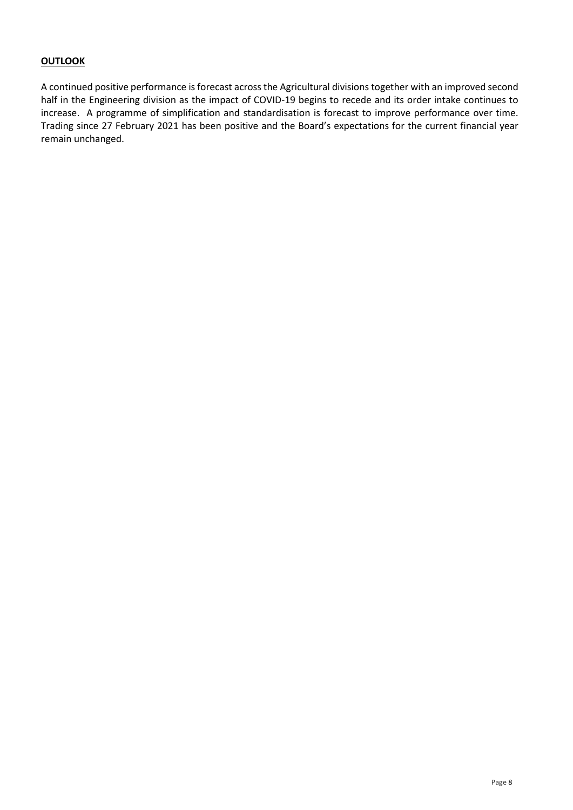# **OUTLOOK**

A continued positive performance is forecast across the Agricultural divisions together with an improved second half in the Engineering division as the impact of COVID-19 begins to recede and its order intake continues to increase. A programme of simplification and standardisation is forecast to improve performance over time. Trading since 27 February 2021 has been positive and the Board's expectations for the current financial year remain unchanged.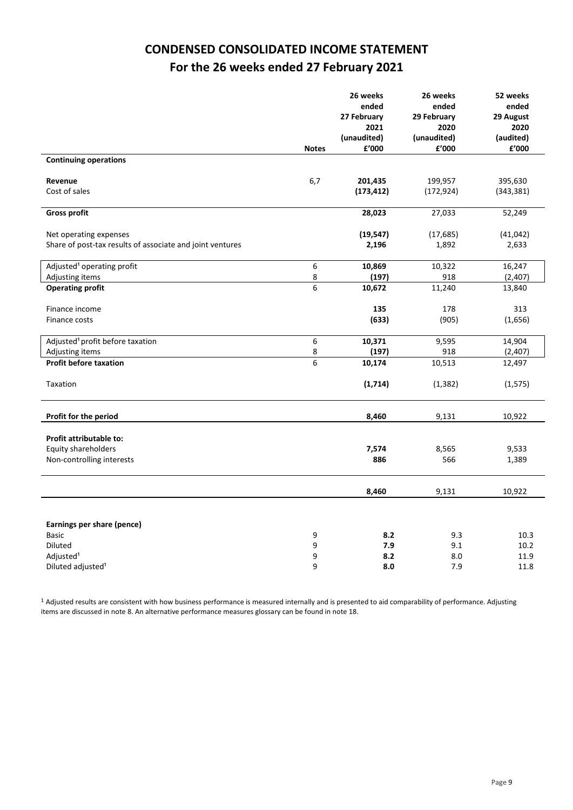# **CONDENSED CONSOLIDATED INCOME STATEMENT For the 26 weeks ended 27 February 2021**

|                                                           |                  | 26 weeks<br>ended<br>27 February<br>2021<br>(unaudited) | 26 weeks<br>ended<br>29 February<br>2020<br>(unaudited) | 52 weeks<br>ended<br>29 August<br>2020<br>(audited) |
|-----------------------------------------------------------|------------------|---------------------------------------------------------|---------------------------------------------------------|-----------------------------------------------------|
|                                                           | <b>Notes</b>     | £'000                                                   | £'000                                                   | ${\bf f}^{\prime}$ 000                              |
| <b>Continuing operations</b>                              |                  |                                                         |                                                         |                                                     |
| Revenue                                                   | 6,7              | 201,435                                                 | 199,957                                                 | 395,630                                             |
| Cost of sales                                             |                  | (173, 412)                                              | (172, 924)                                              | (343, 381)                                          |
|                                                           |                  |                                                         |                                                         |                                                     |
| <b>Gross profit</b>                                       |                  | 28,023                                                  | 27,033                                                  | 52,249                                              |
| Net operating expenses                                    |                  | (19, 547)                                               | (17, 685)                                               | (41, 042)                                           |
| Share of post-tax results of associate and joint ventures |                  | 2,196                                                   | 1,892                                                   | 2,633                                               |
|                                                           |                  |                                                         |                                                         |                                                     |
| Adjusted <sup>1</sup> operating profit                    | $\boldsymbol{6}$ | 10,869                                                  | 10,322                                                  | 16,247                                              |
| Adjusting items                                           | 8                | (197)                                                   | 918                                                     | (2,407)                                             |
| <b>Operating profit</b>                                   | 6                | 10,672                                                  | 11,240                                                  | 13,840                                              |
|                                                           |                  |                                                         |                                                         |                                                     |
| Finance income                                            |                  | 135                                                     | 178                                                     | 313                                                 |
| Finance costs                                             |                  | (633)                                                   | (905)                                                   | (1,656)                                             |
| Adjusted <sup>1</sup> profit before taxation              | 6                | 10,371                                                  | 9,595                                                   | 14,904                                              |
| Adjusting items                                           | 8                | (197)                                                   | 918                                                     | (2,407)                                             |
| <b>Profit before taxation</b>                             | 6                | 10,174                                                  | 10,513                                                  | 12,497                                              |
|                                                           |                  |                                                         | (1, 382)                                                |                                                     |
| Taxation                                                  |                  | (1,714)                                                 |                                                         | (1, 575)                                            |
|                                                           |                  |                                                         |                                                         |                                                     |
| Profit for the period                                     |                  | 8,460                                                   | 9,131                                                   | 10,922                                              |
| Profit attributable to:                                   |                  |                                                         |                                                         |                                                     |
| Equity shareholders                                       |                  | 7,574                                                   | 8,565                                                   | 9,533                                               |
| Non-controlling interests                                 |                  | 886                                                     | 566                                                     | 1,389                                               |
|                                                           |                  |                                                         |                                                         |                                                     |
|                                                           |                  |                                                         |                                                         |                                                     |
|                                                           |                  | 8,460                                                   | 9,131                                                   | 10,922                                              |
|                                                           |                  |                                                         |                                                         |                                                     |
| Earnings per share (pence)                                |                  |                                                         |                                                         |                                                     |
| <b>Basic</b>                                              | 9                | 8.2                                                     | 9.3                                                     | 10.3                                                |
| Diluted                                                   | 9                | 7.9                                                     | 9.1                                                     | 10.2                                                |
| Adjusted <sup>1</sup>                                     | 9                | 8.2                                                     | 8.0                                                     | 11.9                                                |
| Diluted adjusted <sup>1</sup>                             | 9                | 8.0                                                     | 7.9                                                     | 11.8                                                |

<sup>1</sup> Adjusted results are consistent with how business performance is measured internally and is presented to aid comparability of performance. Adjusting items are discussed in note 8. An alternative performance measures glossary can be found in note 18.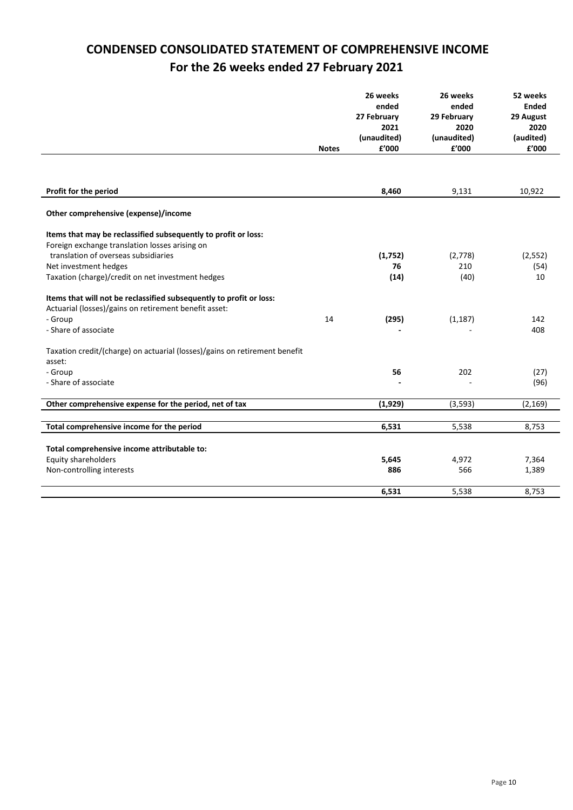# **CONDENSED CONSOLIDATED STATEMENT OF COMPREHENSIVE INCOME For the 26 weeks ended 27 February 2021**

|                                                                            | <b>Notes</b> | 26 weeks<br>ended<br>27 February<br>2021<br>(unaudited)<br>£'000 | 26 weeks<br>ended<br>29 February<br>2020<br>(unaudited)<br>£'000 | 52 weeks<br><b>Ended</b><br>29 August<br>2020<br>(audited)<br>£'000 |
|----------------------------------------------------------------------------|--------------|------------------------------------------------------------------|------------------------------------------------------------------|---------------------------------------------------------------------|
|                                                                            |              |                                                                  |                                                                  |                                                                     |
| Profit for the period                                                      |              | 8,460                                                            | 9,131                                                            | 10,922                                                              |
| Other comprehensive (expense)/income                                       |              |                                                                  |                                                                  |                                                                     |
| Items that may be reclassified subsequently to profit or loss:             |              |                                                                  |                                                                  |                                                                     |
| Foreign exchange translation losses arising on                             |              |                                                                  |                                                                  |                                                                     |
| translation of overseas subsidiaries                                       |              | (1,752)                                                          | (2,778)                                                          | (2,552)                                                             |
| Net investment hedges                                                      |              | 76                                                               | 210                                                              | (54)                                                                |
| Taxation (charge)/credit on net investment hedges                          |              | (14)                                                             | (40)                                                             | 10                                                                  |
| Items that will not be reclassified subsequently to profit or loss:        |              |                                                                  |                                                                  |                                                                     |
| Actuarial (losses)/gains on retirement benefit asset:                      |              |                                                                  |                                                                  |                                                                     |
| - Group                                                                    | 14           | (295)                                                            | (1, 187)                                                         | 142                                                                 |
| - Share of associate                                                       |              |                                                                  |                                                                  | 408                                                                 |
| Taxation credit/(charge) on actuarial (losses)/gains on retirement benefit |              |                                                                  |                                                                  |                                                                     |
| asset:                                                                     |              |                                                                  |                                                                  |                                                                     |
| - Group                                                                    |              | 56                                                               | 202                                                              | (27)                                                                |
| - Share of associate                                                       |              |                                                                  |                                                                  | (96)                                                                |
| Other comprehensive expense for the period, net of tax                     |              | (1,929)                                                          | (3, 593)                                                         | (2, 169)                                                            |
| Total comprehensive income for the period                                  |              | 6,531                                                            | 5,538                                                            | 8,753                                                               |
|                                                                            |              |                                                                  |                                                                  |                                                                     |
| Total comprehensive income attributable to:                                |              |                                                                  |                                                                  |                                                                     |
| Equity shareholders                                                        |              | 5,645                                                            | 4,972                                                            | 7,364                                                               |
| Non-controlling interests                                                  |              | 886                                                              | 566                                                              | 1,389                                                               |
|                                                                            |              | 6,531                                                            | 5,538                                                            | 8,753                                                               |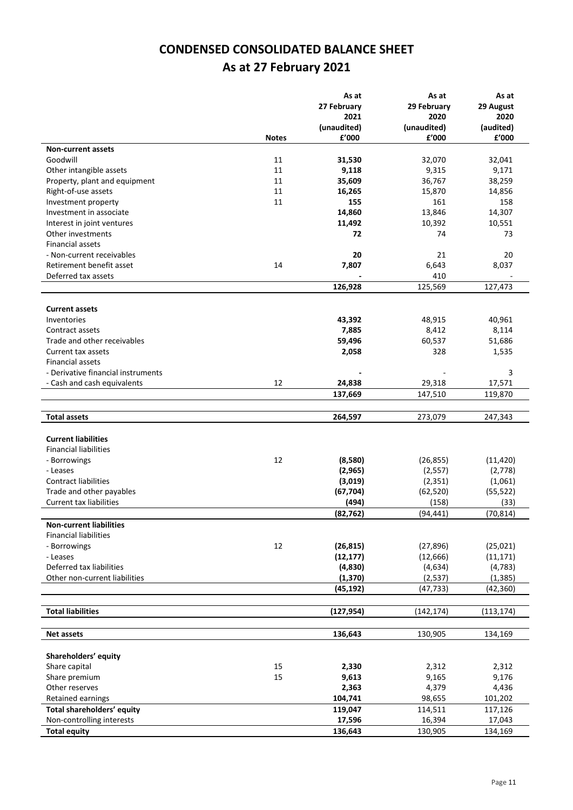# **CONDENSED CONSOLIDATED BALANCE SHEET As at 27 February 2021**

|                                      |              | As at                 | As at                | As at                 |
|--------------------------------------|--------------|-----------------------|----------------------|-----------------------|
|                                      |              | 27 February           | 29 February          | 29 August             |
|                                      |              | 2021                  | 2020                 | 2020                  |
|                                      |              | (unaudited)           | (unaudited)          | (audited)             |
|                                      | <b>Notes</b> | £'000                 | f'000                | £'000                 |
| <b>Non-current assets</b>            |              |                       |                      |                       |
| Goodwill                             | 11           | 31,530                | 32,070               | 32,041                |
| Other intangible assets              | 11           | 9,118                 | 9,315                | 9,171                 |
| Property, plant and equipment        | 11           | 35,609                | 36,767               | 38,259                |
| Right-of-use assets                  | 11           | 16,265                | 15,870               | 14,856                |
| Investment property                  | 11           | 155                   | 161                  | 158                   |
| Investment in associate              |              | 14,860                | 13,846               | 14,307                |
| Interest in joint ventures           |              | 11,492                | 10,392               | 10,551                |
| Other investments                    |              | 72                    | 74                   | 73                    |
| <b>Financial assets</b>              |              |                       |                      |                       |
| - Non-current receivables            |              | 20                    | 21                   | 20                    |
| Retirement benefit asset             | 14           | 7,807                 | 6,643                | 8,037                 |
| Deferred tax assets                  |              |                       | 410                  |                       |
|                                      |              | 126,928               | 125,569              | 127,473               |
|                                      |              |                       |                      |                       |
| <b>Current assets</b>                |              |                       |                      |                       |
| Inventories                          |              | 43,392                | 48,915               | 40,961                |
| Contract assets                      |              | 7,885                 | 8,412                | 8,114                 |
| Trade and other receivables          |              | 59,496                | 60,537               | 51,686                |
| Current tax assets                   |              | 2,058                 | 328                  | 1,535                 |
| <b>Financial assets</b>              |              |                       |                      |                       |
| - Derivative financial instruments   |              |                       |                      | 3                     |
| - Cash and cash equivalents          | 12           | 24,838                | 29,318               | 17,571                |
|                                      |              | 137,669               | 147,510              | 119,870               |
|                                      |              |                       |                      |                       |
| <b>Total assets</b>                  |              | 264,597               | 273,079              | 247,343               |
|                                      |              |                       |                      |                       |
| <b>Current liabilities</b>           |              |                       |                      |                       |
| <b>Financial liabilities</b>         |              |                       |                      |                       |
| - Borrowings                         | 12           | (8,580)               | (26, 855)            | (11, 420)             |
| - Leases                             |              | (2,965)               | (2, 557)             | (2,778)               |
| <b>Contract liabilities</b>          |              | (3,019)               | (2, 351)             | (1,061)               |
| Trade and other payables             |              | (67, 704)             | (62, 520)            | (55, 522)             |
| <b>Current tax liabilities</b>       |              | (494)                 | (158)                | (33)                  |
|                                      |              | (82, 762)             | (94, 441)            | (70, 814)             |
| <b>Non-current liabilities</b>       |              |                       |                      |                       |
| <b>Financial liabilities</b>         |              |                       |                      |                       |
| - Borrowings                         | 12           | (26, 815)             | (27, 896)            | (25, 021)             |
| - Leases<br>Deferred tax liabilities |              | (12, 177)             | (12, 666)            | (11, 171)             |
|                                      |              | (4,830)               | (4,634)              | (4, 783)              |
| Other non-current liabilities        |              | (1, 370)<br>(45, 192) | (2,537)<br>(47, 733) | (1, 385)<br>(42, 360) |
|                                      |              |                       |                      |                       |
| <b>Total liabilities</b>             |              | (127, 954)            | (142, 174)           | (113, 174)            |
|                                      |              |                       |                      |                       |
| <b>Net assets</b>                    |              | 136,643               | 130,905              | 134,169               |
|                                      |              |                       |                      |                       |
| Shareholders' equity                 |              |                       |                      |                       |
| Share capital                        | 15           | 2,330                 | 2,312                | 2,312                 |
| Share premium                        | 15           | 9,613                 | 9,165                | 9,176                 |
| Other reserves                       |              | 2,363                 | 4,379                | 4,436                 |
| Retained earnings                    |              | 104,741               | 98,655               | 101,202               |
| Total shareholders' equity           |              | 119,047               | 114,511              | 117,126               |
| Non-controlling interests            |              | 17,596                | 16,394               | 17,043                |
| <b>Total equity</b>                  |              | 136,643               | 130,905              | 134,169               |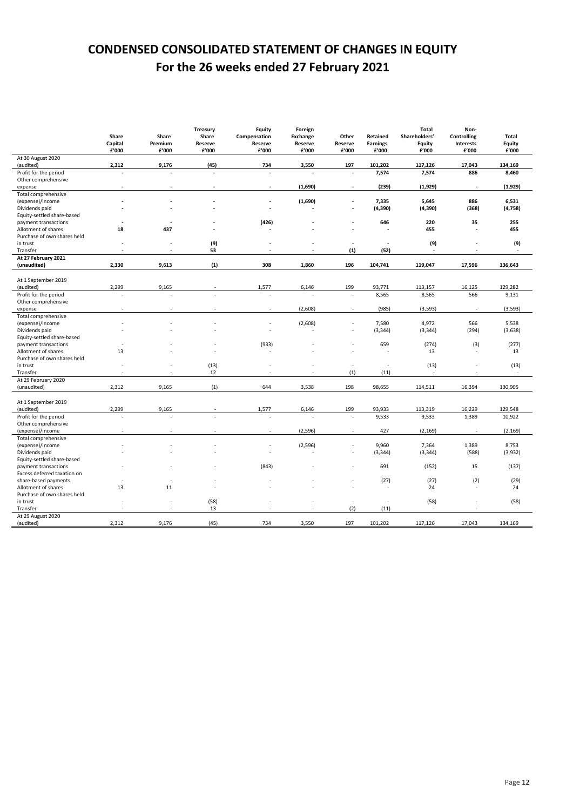# **CONDENSED CONSOLIDATED STATEMENT OF CHANGES IN EQUITY For the 26 weeks ended 27 February 2021**

|                             | Share   | Share   | Treasury<br>Share | Equity<br>Compensation | Foreign<br><b>Exchange</b> | Other   | Retained | Total<br>Shareholders' | Non-<br><b>Controlling</b> | Total    |
|-----------------------------|---------|---------|-------------------|------------------------|----------------------------|---------|----------|------------------------|----------------------------|----------|
|                             | Capital | Premium | Reserve           | Reserve                | Reserve                    | Reserve | Earnings | Equity                 | <b>Interests</b>           | Equity   |
|                             | £'000   | £'000   | £'000             | £'000                  | £'000                      | £'000   | £'000    | £'000                  | £'000                      | £'000    |
| At 30 August 2020           |         |         |                   |                        |                            |         |          |                        |                            |          |
| (audited)                   | 2,312   | 9,176   | (45)              | 734                    | 3,550                      | 197     | 101,202  | 117,126                | 17,043                     | 134,169  |
| Profit for the period       |         |         |                   |                        |                            |         | 7,574    | 7,574                  | 886                        | 8,460    |
| Other comprehensive         |         |         |                   |                        |                            |         |          |                        |                            |          |
| expense                     |         |         |                   |                        | (1,690)                    |         | (239)    | (1,929)                | $\overline{\phantom{a}}$   | (1, 929) |
| Total comprehensive         |         |         |                   |                        |                            |         |          |                        |                            |          |
| (expense)/income            |         |         |                   |                        | (1,690)                    |         | 7,335    | 5,645                  | 886                        | 6,531    |
| Dividends paid              |         |         |                   |                        |                            |         | (4, 390) | (4, 390)               | (368)                      | (4, 758) |
| Equity-settled share-based  |         |         |                   |                        |                            |         |          |                        |                            |          |
| payment transactions        |         |         |                   | (426)                  |                            |         | 646      | 220                    | 35                         | 255      |
| Allotment of shares         | 18      | 437     |                   |                        |                            |         |          | 455                    | L,                         | 455      |
| Purchase of own shares held |         |         |                   |                        |                            |         |          |                        |                            |          |
| in trust                    |         |         | (9)               |                        |                            |         |          | (9)                    |                            | (9)      |
| Transfer                    |         |         | 53                |                        |                            | (1)     | (52)     |                        |                            |          |
| At 27 February 2021         |         |         |                   |                        |                            |         |          |                        |                            |          |
| (unaudited)                 | 2,330   | 9,613   | (1)               | 308                    | 1,860                      | 196     | 104,741  | 119,047                | 17,596                     | 136,643  |
| At 1 September 2019         |         |         |                   |                        |                            |         |          |                        |                            |          |
| (audited)                   | 2,299   | 9,165   |                   | 1,577                  | 6,146                      | 199     | 93,771   | 113,157                | 16,125                     | 129,282  |
| Profit for the period       |         | ÷,      |                   |                        | ÷.                         | ÷.      | 8,565    | 8,565                  | 566                        | 9,131    |
| Other comprehensive         |         |         |                   |                        |                            |         |          |                        |                            |          |
| expense                     |         |         |                   |                        | (2,608)                    |         | (985)    | (3, 593)               | $\overline{\phantom{a}}$   | (3, 593) |
| Total comprehensive         |         |         |                   |                        |                            |         |          |                        |                            |          |
| (expense)/income            |         |         |                   |                        | (2,608)                    |         | 7,580    | 4,972                  | 566                        | 5,538    |
|                             |         |         |                   |                        |                            |         |          |                        | (294)                      |          |
| Dividends paid              |         |         |                   |                        |                            |         | (3, 344) | (3, 344)               |                            | (3,638)  |
| Equity-settled share-based  |         |         |                   |                        |                            |         |          |                        |                            |          |
| payment transactions        |         |         |                   | (933)                  |                            |         | 659      | (274)                  | (3)                        | (277)    |
| Allotment of shares         | 13      |         |                   |                        |                            |         |          | 13                     | $\overline{\phantom{a}}$   | 13       |
| Purchase of own shares held |         |         |                   |                        |                            |         |          |                        |                            |          |
| in trust                    |         |         | (13)              |                        |                            | ×       | ä,       | (13)                   |                            | (13)     |
| Transfer                    |         |         | 12                |                        |                            | (1)     | (11)     |                        |                            |          |
| At 29 February 2020         |         |         |                   |                        |                            |         |          |                        |                            |          |
| (unaudited)                 | 2,312   | 9,165   | (1)               | 644                    | 3,538                      | 198     | 98,655   | 114,511                | 16,394                     | 130,905  |
|                             |         |         |                   |                        |                            |         |          |                        |                            |          |
| At 1 September 2019         |         |         |                   |                        |                            |         |          |                        |                            |          |
| (audited)                   | 2,299   | 9,165   |                   | 1,577                  | 6,146                      | 199     | 93,933   | 113,319                | 16,229                     | 129,548  |
| Profit for the period       |         |         |                   |                        | ä,                         | ×.      | 9,533    | 9,533                  | 1,389                      | 10,922   |
| Other comprehensive         |         |         |                   |                        |                            |         |          |                        |                            |          |
| (expense)/income            |         |         |                   |                        | (2, 596)                   |         | 427      | (2, 169)               | $\overline{a}$             | (2, 169) |
| Total comprehensive         |         |         |                   |                        |                            |         |          |                        |                            |          |
| (expense)/income            |         |         |                   |                        | (2, 596)                   |         | 9,960    | 7,364                  | 1,389                      | 8,753    |
| Dividends paid              |         |         |                   |                        |                            |         | (3, 344) | (3, 344)               | (588)                      | (3,932)  |
| Equity-settled share-based  |         |         |                   |                        |                            |         |          |                        |                            |          |
| payment transactions        |         |         |                   | (843)                  |                            |         | 691      | (152)                  | 15                         | (137)    |
| Excess deferred taxation on |         |         |                   |                        |                            |         |          |                        |                            |          |
| share-based payments        |         |         |                   |                        |                            |         | (27)     | (27)                   | (2)                        | (29)     |
| Allotment of shares         | 13      | 11      |                   |                        |                            |         | J.       | 24                     | ÷.                         | 24       |
| Purchase of own shares held |         |         |                   |                        |                            |         |          |                        |                            |          |
| in trust                    |         |         | (58)              |                        |                            |         |          | (58)                   |                            | (58)     |
| Transfer                    |         |         | 13                |                        |                            | (2)     | (11)     | ÷.                     |                            |          |
| At 29 August 2020           |         |         |                   |                        |                            |         |          |                        |                            |          |
| (audited)                   | 2,312   | 9,176   | (45)              | 734                    | 3,550                      | 197     | 101,202  | 117,126                | 17,043                     | 134,169  |
|                             |         |         |                   |                        |                            |         |          |                        |                            |          |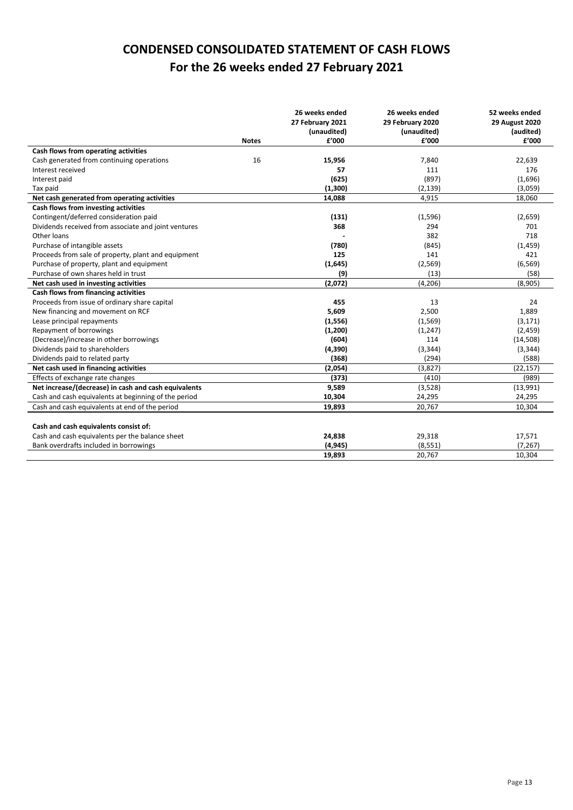# **CONDENSED CONSOLIDATED STATEMENT OF CASH FLOWS For the 26 weeks ended 27 February 2021**

|                                                      |              | 26 weeks ended<br>27 February 2021<br>(unaudited) | 26 weeks ended<br>29 February 2020<br>(unaudited) | 52 weeks ended<br><b>29 August 2020</b><br>(audited) |
|------------------------------------------------------|--------------|---------------------------------------------------|---------------------------------------------------|------------------------------------------------------|
|                                                      | <b>Notes</b> | f'000                                             | f'000                                             | £'000                                                |
| Cash flows from operating activities                 |              |                                                   |                                                   |                                                      |
| Cash generated from continuing operations            | 16           | 15,956                                            | 7,840                                             | 22,639                                               |
| Interest received                                    |              | 57                                                | 111                                               | 176                                                  |
| Interest paid                                        |              | (625)                                             | (897)                                             | (1,696)                                              |
| Tax paid                                             |              | (1,300)                                           | (2, 139)                                          | (3,059)                                              |
| Net cash generated from operating activities         |              | 14,088                                            | 4,915                                             | 18,060                                               |
| Cash flows from investing activities                 |              |                                                   |                                                   |                                                      |
| Contingent/deferred consideration paid               |              | (131)                                             | (1,596)                                           | (2,659)                                              |
| Dividends received from associate and joint ventures |              | 368                                               | 294                                               | 701                                                  |
| Other loans                                          |              |                                                   | 382                                               | 718                                                  |
| Purchase of intangible assets                        |              | (780)                                             | (845)                                             | (1, 459)                                             |
| Proceeds from sale of property, plant and equipment  |              | 125                                               | 141                                               | 421                                                  |
| Purchase of property, plant and equipment            |              | (1,645)                                           | (2, 569)                                          | (6, 569)                                             |
| Purchase of own shares held in trust                 |              | (9)                                               | (13)                                              | (58)                                                 |
| Net cash used in investing activities                |              | (2,072)                                           | (4, 206)                                          | (8,905)                                              |
| Cash flows from financing activities                 |              |                                                   |                                                   |                                                      |
| Proceeds from issue of ordinary share capital        |              | 455                                               | 13                                                | 24                                                   |
| New financing and movement on RCF                    |              | 5,609                                             | 2,500                                             | 1,889                                                |
| Lease principal repayments                           |              | (1, 556)                                          | (1, 569)                                          | (3, 171)                                             |
| Repayment of borrowings                              |              | (1, 200)                                          | (1, 247)                                          | (2,459)                                              |
| (Decrease)/increase in other borrowings              |              | (604)                                             | 114                                               | (14, 508)                                            |
| Dividends paid to shareholders                       |              | (4, 390)                                          | (3, 344)                                          | (3, 344)                                             |
| Dividends paid to related party                      |              | (368)                                             | (294)                                             | (588)                                                |
| Net cash used in financing activities                |              | (2,054)                                           | (3,827)                                           | (22, 157)                                            |
| Effects of exchange rate changes                     |              | (373)                                             | (410)                                             | (989)                                                |
| Net increase/(decrease) in cash and cash equivalents |              | 9,589                                             | (3,528)                                           | (13,991)                                             |
| Cash and cash equivalents at beginning of the period |              | 10,304                                            | 24,295                                            | 24,295                                               |
| Cash and cash equivalents at end of the period       |              | 19,893                                            | 20,767                                            | 10,304                                               |
|                                                      |              |                                                   |                                                   |                                                      |
| Cash and cash equivalents consist of:                |              |                                                   |                                                   |                                                      |
| Cash and cash equivalents per the balance sheet      |              | 24,838                                            | 29,318                                            | 17,571                                               |
| Bank overdrafts included in borrowings               |              | (4, 945)                                          | (8, 551)                                          | (7, 267)                                             |
|                                                      |              | 19,893                                            | 20,767                                            | 10,304                                               |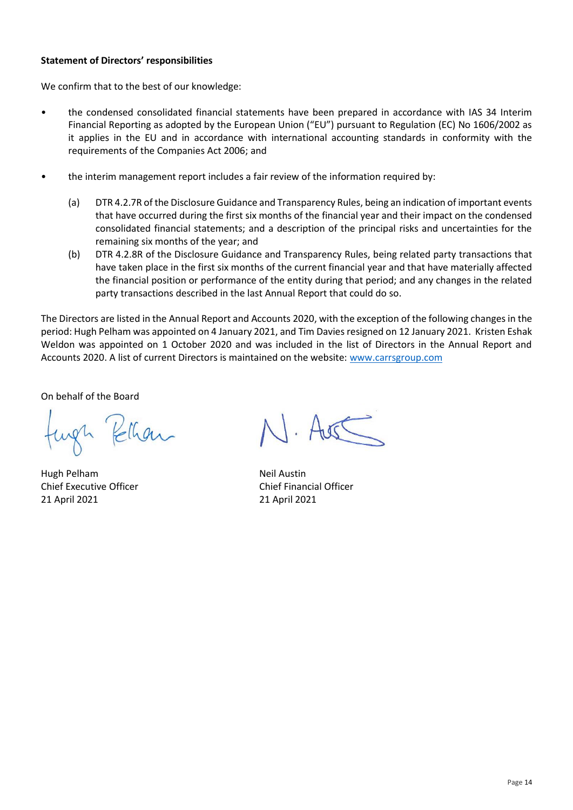## **Statement of Directors' responsibilities**

We confirm that to the best of our knowledge:

- the condensed consolidated financial statements have been prepared in accordance with IAS 34 Interim Financial Reporting as adopted by the European Union ("EU") pursuant to Regulation (EC) No 1606/2002 as it applies in the EU and in accordance with international accounting standards in conformity with the requirements of the Companies Act 2006; and
- the interim management report includes a fair review of the information required by:
	- (a) DTR 4.2.7R of the Disclosure Guidance and Transparency Rules, being an indication of important events that have occurred during the first six months of the financial year and their impact on the condensed consolidated financial statements; and a description of the principal risks and uncertainties for the remaining six months of the year; and
	- (b) DTR 4.2.8R of the Disclosure Guidance and Transparency Rules, being related party transactions that have taken place in the first six months of the current financial year and that have materially affected the financial position or performance of the entity during that period; and any changes in the related party transactions described in the last Annual Report that could do so.

The Directors are listed in the Annual Report and Accounts 2020, with the exception of the following changes in the period: Hugh Pelham was appointed on 4 January 2021, and Tim Davies resigned on 12 January 2021. Kristen Eshak Weldon was appointed on 1 October 2020 and was included in the list of Directors in the Annual Report and Accounts 2020. A list of current Directors is maintained on the website: [www.carrsgroup.com](http://www.carrsgroup.com/)

On behalf of the Board

ungh Kelhan

Hugh Pelham Neil Austin Chief Executive Officer Chief Financial Officer 21 April 2021 21 April 2021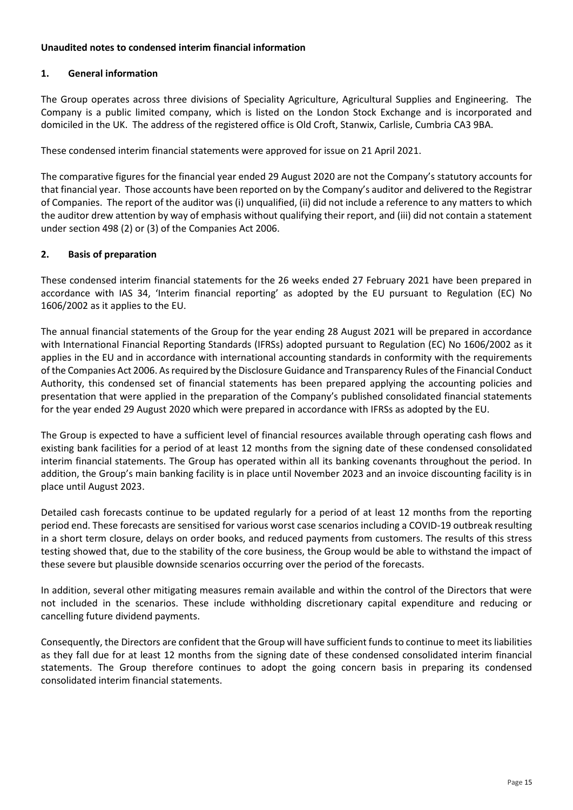# **Unaudited notes to condensed interim financial information**

# **1. General information**

The Group operates across three divisions of Speciality Agriculture, Agricultural Supplies and Engineering. The Company is a public limited company, which is listed on the London Stock Exchange and is incorporated and domiciled in the UK. The address of the registered office is Old Croft, Stanwix, Carlisle, Cumbria CA3 9BA.

These condensed interim financial statements were approved for issue on 21 April 2021.

The comparative figures for the financial year ended 29 August 2020 are not the Company's statutory accounts for that financial year. Those accounts have been reported on by the Company's auditor and delivered to the Registrar of Companies. The report of the auditor was (i) unqualified, (ii) did not include a reference to any matters to which the auditor drew attention by way of emphasis without qualifying their report, and (iii) did not contain a statement under section 498 (2) or (3) of the Companies Act 2006.

## **2. Basis of preparation**

These condensed interim financial statements for the 26 weeks ended 27 February 2021 have been prepared in accordance with IAS 34, 'Interim financial reporting' as adopted by the EU pursuant to Regulation (EC) No 1606/2002 as it applies to the EU.

The annual financial statements of the Group for the year ending 28 August 2021 will be prepared in accordance with International Financial Reporting Standards (IFRSs) adopted pursuant to Regulation (EC) No 1606/2002 as it applies in the EU and in accordance with international accounting standards in conformity with the requirements of the Companies Act 2006. As required by the Disclosure Guidance and Transparency Rules of the Financial Conduct Authority, this condensed set of financial statements has been prepared applying the accounting policies and presentation that were applied in the preparation of the Company's published consolidated financial statements for the year ended 29 August 2020 which were prepared in accordance with IFRSs as adopted by the EU.

The Group is expected to have a sufficient level of financial resources available through operating cash flows and existing bank facilities for a period of at least 12 months from the signing date of these condensed consolidated interim financial statements. The Group has operated within all its banking covenants throughout the period. In addition, the Group's main banking facility is in place until November 2023 and an invoice discounting facility is in place until August 2023.

Detailed cash forecasts continue to be updated regularly for a period of at least 12 months from the reporting period end. These forecasts are sensitised for various worst case scenarios including a COVID-19 outbreak resulting in a short term closure, delays on order books, and reduced payments from customers. The results of this stress testing showed that, due to the stability of the core business, the Group would be able to withstand the impact of these severe but plausible downside scenarios occurring over the period of the forecasts.

In addition, several other mitigating measures remain available and within the control of the Directors that were not included in the scenarios. These include withholding discretionary capital expenditure and reducing or cancelling future dividend payments.

Consequently, the Directors are confident that the Group will have sufficient funds to continue to meet itsliabilities as they fall due for at least 12 months from the signing date of these condensed consolidated interim financial statements. The Group therefore continues to adopt the going concern basis in preparing its condensed consolidated interim financial statements.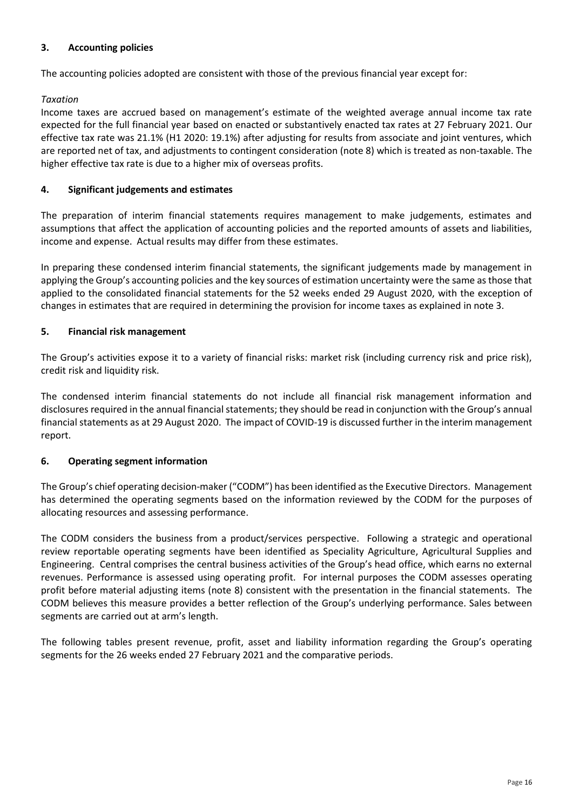# **3. Accounting policies**

The accounting policies adopted are consistent with those of the previous financial year except for:

# *Taxation*

Income taxes are accrued based on management's estimate of the weighted average annual income tax rate expected for the full financial year based on enacted or substantively enacted tax rates at 27 February 2021. Our effective tax rate was 21.1% (H1 2020: 19.1%) after adjusting for results from associate and joint ventures, which are reported net of tax, and adjustments to contingent consideration (note 8) which is treated as non-taxable. The higher effective tax rate is due to a higher mix of overseas profits.

## **4. Significant judgements and estimates**

The preparation of interim financial statements requires management to make judgements, estimates and assumptions that affect the application of accounting policies and the reported amounts of assets and liabilities, income and expense. Actual results may differ from these estimates.

In preparing these condensed interim financial statements, the significant judgements made by management in applying the Group's accounting policies and the key sources of estimation uncertainty were the same as those that applied to the consolidated financial statements for the 52 weeks ended 29 August 2020, with the exception of changes in estimates that are required in determining the provision for income taxes as explained in note 3.

## **5. Financial risk management**

The Group's activities expose it to a variety of financial risks: market risk (including currency risk and price risk), credit risk and liquidity risk.

The condensed interim financial statements do not include all financial risk management information and disclosures required in the annual financial statements; they should be read in conjunction with the Group's annual financial statements as at 29 August 2020. The impact of COVID-19 is discussed further in the interim management report.

## **6. Operating segment information**

The Group's chief operating decision-maker ("CODM") has been identified as the Executive Directors. Management has determined the operating segments based on the information reviewed by the CODM for the purposes of allocating resources and assessing performance.

The CODM considers the business from a product/services perspective. Following a strategic and operational review reportable operating segments have been identified as Speciality Agriculture, Agricultural Supplies and Engineering. Central comprises the central business activities of the Group's head office, which earns no external revenues. Performance is assessed using operating profit. For internal purposes the CODM assesses operating profit before material adjusting items (note 8) consistent with the presentation in the financial statements. The CODM believes this measure provides a better reflection of the Group's underlying performance. Sales between segments are carried out at arm's length.

The following tables present revenue, profit, asset and liability information regarding the Group's operating segments for the 26 weeks ended 27 February 2021 and the comparative periods.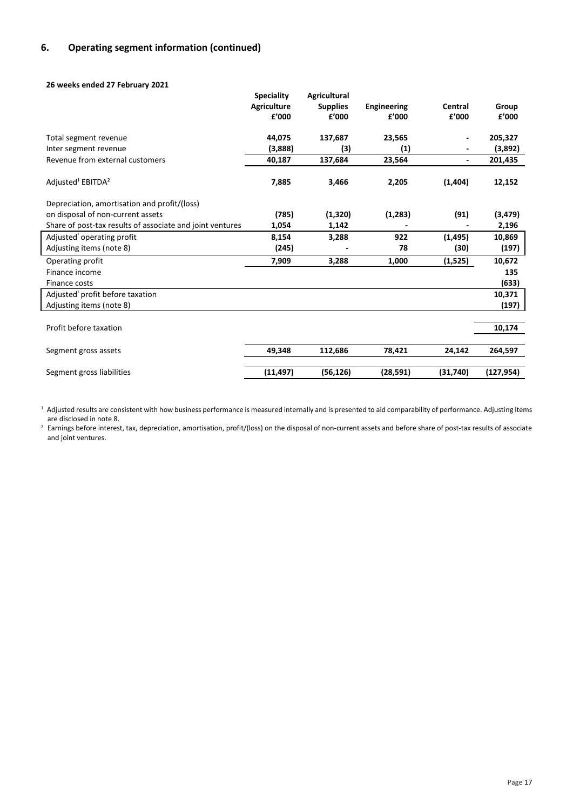# **6. Operating segment information (continued)**

#### **26 weeks ended 27 February 2021**

|                                                           | <b>Speciality</b>  | <b>Agricultural</b> |                    |          |            |
|-----------------------------------------------------------|--------------------|---------------------|--------------------|----------|------------|
|                                                           | <b>Agriculture</b> | <b>Supplies</b>     | <b>Engineering</b> | Central  | Group      |
|                                                           | £'000              | £'000               | f'000              | £'000    | £'000      |
| Total segment revenue                                     | 44,075             | 137,687             | 23,565             |          | 205,327    |
| Inter segment revenue                                     | (3,888)            | (3)                 | (1)                |          | (3,892)    |
| Revenue from external customers                           | 40,187             | 137,684             | 23,564             |          | 201,435    |
| Adjusted <sup>1</sup> EBITDA <sup>2</sup>                 | 7,885              | 3,466               | 2,205              | (1,404)  | 12,152     |
| Depreciation, amortisation and profit/(loss)              |                    |                     |                    |          |            |
| on disposal of non-current assets                         | (785)              | (1, 320)            | (1, 283)           | (91)     | (3, 479)   |
| Share of post-tax results of associate and joint ventures | 1,054              | 1,142               |                    |          | 2,196      |
| Adjusted' operating profit                                | 8,154              | 3,288               | 922                | (1, 495) | 10,869     |
| Adjusting items (note 8)                                  | (245)              |                     | 78                 | (30)     | (197)      |
| Operating profit                                          | 7,909              | 3,288               | 1,000              | (1, 525) | 10,672     |
| Finance income                                            |                    |                     |                    |          | 135        |
| Finance costs                                             |                    |                     |                    |          | (633)      |
| Adjusted' profit before taxation                          |                    |                     |                    |          | 10,371     |
| Adjusting items (note 8)                                  |                    |                     |                    |          | (197)      |
|                                                           |                    |                     |                    |          |            |
| Profit before taxation                                    |                    |                     |                    |          | 10,174     |
| Segment gross assets                                      | 49,348             | 112,686             | 78,421             | 24,142   | 264,597    |
| Segment gross liabilities                                 | (11, 497)          | (56, 126)           | (28, 591)          | (31,740) | (127, 954) |

<sup>1</sup> Adjusted results are consistent with how business performance is measured internally and is presented to aid comparability of performance. Adjusting items are disclosed in note 8.

<sup>2</sup> Earnings before interest, tax, depreciation, amortisation, profit/(loss) on the disposal of non-current assets and before share of post-tax results of associate and joint ventures.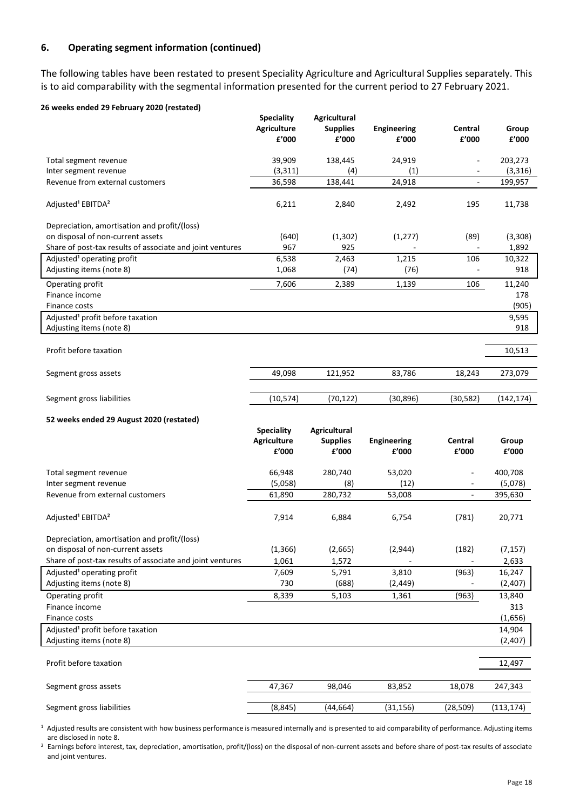# **6. Operating segment information (continued)**

The following tables have been restated to present Speciality Agriculture and Agricultural Supplies separately. This is to aid comparability with the segmental information presented for the current period to 27 February 2021.

#### **26 weeks ended 29 February 2020 (restated)**

|                                                           | <b>Speciality</b><br><b>Agriculture</b><br>£'000 | <b>Agricultural</b><br><b>Supplies</b><br>f'000 | <b>Engineering</b><br>£'000 | Central<br>£'000         | Group<br>£'000 |
|-----------------------------------------------------------|--------------------------------------------------|-------------------------------------------------|-----------------------------|--------------------------|----------------|
| Total segment revenue                                     | 39,909                                           | 138,445                                         | 24,919                      | $\overline{\phantom{0}}$ | 203,273        |
| Inter segment revenue                                     | (3, 311)                                         | (4)                                             | (1)                         | ۰                        | (3, 316)       |
| Revenue from external customers                           | 36,598                                           | 138,441                                         | 24,918                      | $\overline{\phantom{a}}$ | 199,957        |
| Adjusted <sup>1</sup> EBITDA <sup>2</sup>                 | 6,211                                            | 2,840                                           | 2,492                       | 195                      | 11,738         |
| Depreciation, amortisation and profit/(loss)              |                                                  |                                                 |                             |                          |                |
| on disposal of non-current assets                         | (640)                                            | (1,302)                                         | (1, 277)                    | (89)                     | (3,308)        |
| Share of post-tax results of associate and joint ventures | 967                                              | 925                                             |                             |                          | 1,892          |
| Adjusted <sup>1</sup> operating profit                    | 6,538                                            | 2,463                                           | 1,215                       | 106                      | 10,322         |
| Adjusting items (note 8)                                  | 1,068                                            | (74)                                            | (76)                        |                          | 918            |
| Operating profit                                          | 7,606                                            | 2,389                                           | 1,139                       | 106                      | 11,240         |
| Finance income<br>Finance costs                           |                                                  |                                                 |                             |                          | 178<br>(905)   |
| Adjusted <sup>1</sup> profit before taxation              |                                                  |                                                 |                             |                          | 9,595          |
| Adjusting items (note 8)                                  |                                                  |                                                 |                             |                          | 918            |
|                                                           |                                                  |                                                 |                             |                          |                |
| Profit before taxation                                    |                                                  |                                                 |                             |                          | 10,513         |
|                                                           |                                                  |                                                 |                             |                          |                |
| Segment gross assets                                      | 49,098                                           | 121,952                                         | 83,786                      | 18,243                   | 273,079        |
|                                                           |                                                  |                                                 |                             |                          |                |
| Segment gross liabilities                                 | (10, 574)                                        | (70, 122)                                       | (30, 896)                   | (30, 582)                | (142, 174)     |
| 52 weeks ended 29 August 2020 (restated)                  |                                                  |                                                 |                             |                          |                |
|                                                           |                                                  |                                                 |                             |                          |                |
|                                                           | <b>Speciality</b>                                | Agricultural                                    |                             |                          |                |
|                                                           | <b>Agriculture</b>                               | <b>Supplies</b>                                 | <b>Engineering</b>          | Central                  | Group          |
|                                                           | £'000                                            | £'000                                           | £'000                       | £'000                    | £'000          |
|                                                           |                                                  |                                                 |                             | $\overline{\phantom{a}}$ |                |
| Total segment revenue                                     | 66,948                                           | 280,740                                         | 53,020                      | $\overline{\phantom{a}}$ | 400,708        |
| Inter segment revenue<br>Revenue from external customers  | (5,058)                                          | (8)                                             | (12)                        | $\blacksquare$           | (5,078)        |
|                                                           | 61,890                                           | 280,732                                         | 53,008                      |                          | 395,630        |
| Adjusted <sup>1</sup> EBITDA <sup>2</sup>                 | 7,914                                            | 6,884                                           | 6,754                       | (781)                    | 20,771         |
|                                                           |                                                  |                                                 |                             |                          |                |
| Depreciation, amortisation and profit/(loss)              |                                                  |                                                 |                             |                          |                |
| on disposal of non-current assets                         | (1, 366)                                         | (2,665)                                         | (2,944)                     | (182)                    | (7, 157)       |
| Share of post-tax results of associate and joint ventures | 1,061                                            | 1,572                                           |                             |                          | 2,633          |
| Adjusted <sup>1</sup> operating profit                    | 7,609                                            | 5,791                                           | 3,810                       | (963)                    | 16,247         |
| Adjusting items (note 8)                                  | 730                                              | (688)                                           | (2, 449)                    |                          | (2,407)        |
| Operating profit                                          | 8,339                                            | 5,103                                           | 1,361                       | (963)                    | 13,840         |
| Finance income                                            |                                                  |                                                 |                             |                          | 313            |
| Finance costs                                             |                                                  |                                                 |                             |                          | (1,656)        |
| Adjusted <sup>1</sup> profit before taxation              |                                                  |                                                 |                             |                          | 14,904         |
| Adjusting items (note 8)                                  |                                                  |                                                 |                             |                          | (2,407)        |
| Profit before taxation                                    |                                                  |                                                 |                             |                          | 12,497         |
|                                                           |                                                  |                                                 |                             |                          |                |
| Segment gross assets                                      | 47,367                                           | 98,046                                          | 83,852                      | 18,078                   | 247,343        |

 $^1$  Adjusted results are consistent with how business performance is measured internally and is presented to aid comparability of performance. Adjusting items are disclosed in note 8.

<sup>2</sup> Earnings before interest, tax, depreciation, amortisation, profit/(loss) on the disposal of non-current assets and before share of post-tax results of associate and joint ventures.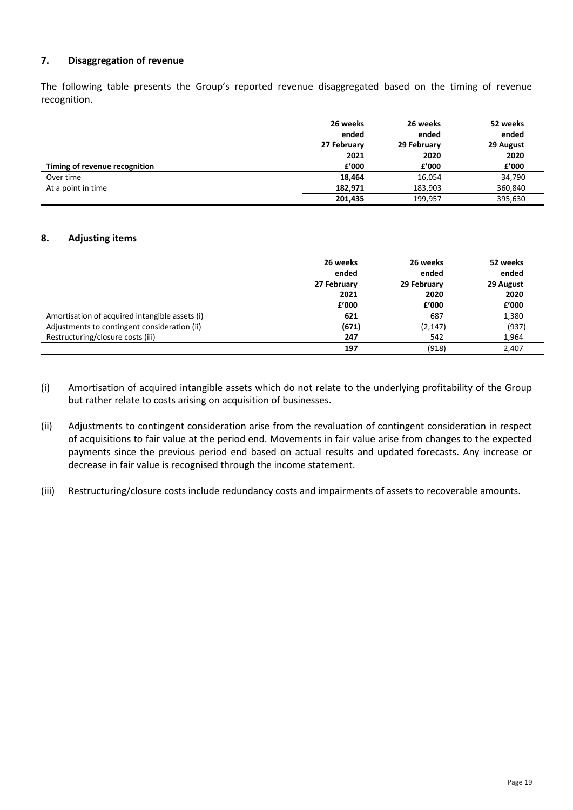# **7. Disaggregation of revenue**

The following table presents the Group's reported revenue disaggregated based on the timing of revenue recognition.

|                               | 26 weeks<br>ended<br>27 February | 26 weeks<br>ended<br>29 February | 52 weeks<br>ended<br>29 August |
|-------------------------------|----------------------------------|----------------------------------|--------------------------------|
|                               | 2021                             | 2020                             | 2020                           |
| Timing of revenue recognition | £'000                            | £'000                            | f'000                          |
| Over time                     | 18,464                           | 16,054                           | 34,790                         |
| At a point in time            | 182,971                          | 183,903                          | 360,840                        |
|                               | 201,435                          | 199,957                          | 395,630                        |

## **8. Adjusting items**

|                                                | 26 weeks    | 26 weeks    | 52 weeks  |
|------------------------------------------------|-------------|-------------|-----------|
|                                                | ended       | ended       | ended     |
|                                                | 27 February | 29 February | 29 August |
|                                                | 2021        | 2020        | 2020      |
|                                                | £'000       | £'000       | £'000     |
| Amortisation of acquired intangible assets (i) | 621         | 687         | 1,380     |
| Adjustments to contingent consideration (ii)   | (671)       | (2, 147)    | (937)     |
| Restructuring/closure costs (iii)              | 247         | 542         | 1,964     |
|                                                | 197         | (918)       | 2,407     |

- (i) Amortisation of acquired intangible assets which do not relate to the underlying profitability of the Group but rather relate to costs arising on acquisition of businesses.
- (ii) Adjustments to contingent consideration arise from the revaluation of contingent consideration in respect of acquisitions to fair value at the period end. Movements in fair value arise from changes to the expected payments since the previous period end based on actual results and updated forecasts. Any increase or decrease in fair value is recognised through the income statement.
- (iii) Restructuring/closure costs include redundancy costs and impairments of assets to recoverable amounts.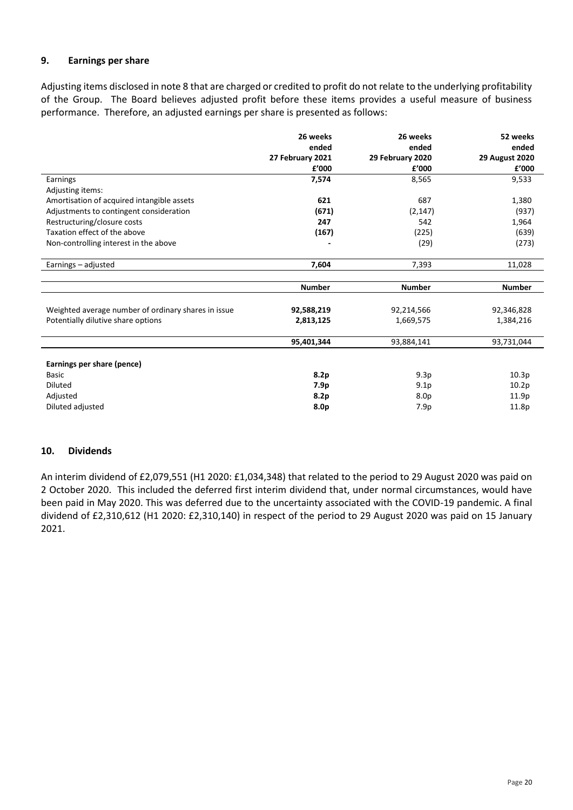# **9. Earnings per share**

Adjusting items disclosed in note 8 that are charged or credited to profit do not relate to the underlying profitability of the Group. The Board believes adjusted profit before these items provides a useful measure of business performance. Therefore, an adjusted earnings per share is presented as follows:

|                                                     | 26 weeks<br>ended | 26 weeks<br>ended | 52 weeks<br>ended     |
|-----------------------------------------------------|-------------------|-------------------|-----------------------|
|                                                     | 27 February 2021  | 29 February 2020  | <b>29 August 2020</b> |
|                                                     | £'000             | £'000             | £'000                 |
| Earnings                                            | 7,574             | 8,565             | 9,533                 |
| Adjusting items:                                    |                   |                   |                       |
| Amortisation of acquired intangible assets          | 621               | 687               | 1,380                 |
| Adjustments to contingent consideration             | (671)             | (2, 147)          | (937)                 |
| Restructuring/closure costs                         | 247               | 542               | 1,964                 |
| Taxation effect of the above                        | (167)             | (225)             | (639)                 |
| Non-controlling interest in the above               |                   | (29)              | (273)                 |
|                                                     |                   |                   |                       |
| Earnings - adjusted                                 | 7,604             | 7,393             | 11,028                |
|                                                     |                   |                   |                       |
|                                                     | <b>Number</b>     | <b>Number</b>     | <b>Number</b>         |
|                                                     |                   |                   |                       |
| Weighted average number of ordinary shares in issue | 92,588,219        | 92,214,566        | 92,346,828            |
| Potentially dilutive share options                  | 2,813,125         | 1,669,575         | 1,384,216             |
|                                                     |                   |                   |                       |
|                                                     | 95,401,344        | 93,884,141        | 93,731,044            |
|                                                     |                   |                   |                       |
| Earnings per share (pence)                          |                   |                   |                       |
| <b>Basic</b>                                        | 8.2p              | 9.3p              | 10.3p                 |
| <b>Diluted</b>                                      | 7.9p              | 9.1 <sub>p</sub>  | 10.2p                 |
| Adjusted                                            | 8.2p              | 8.0 <sub>p</sub>  | 11.9 <sub>p</sub>     |
| Diluted adjusted                                    | 8.0p              | 7.9p              | 11.8p                 |

## **10. Dividends**

An interim dividend of £2,079,551 (H1 2020: £1,034,348) that related to the period to 29 August 2020 was paid on 2 October 2020. This included the deferred first interim dividend that, under normal circumstances, would have been paid in May 2020. This was deferred due to the uncertainty associated with the COVID-19 pandemic. A final dividend of £2,310,612 (H1 2020: £2,310,140) in respect of the period to 29 August 2020 was paid on 15 January 2021.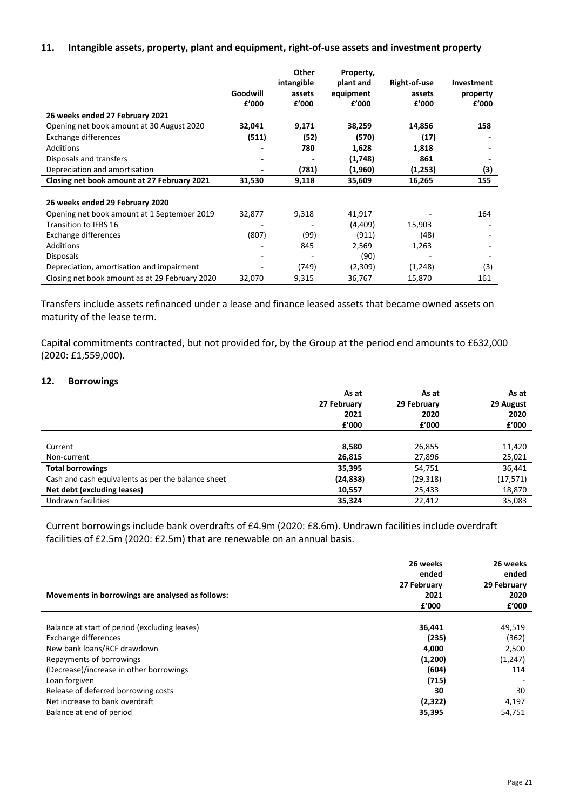## **11. Intangible assets, property, plant and equipment, right-of-use assets and investment property**

|                                                |          | Other      | Property, |              |            |
|------------------------------------------------|----------|------------|-----------|--------------|------------|
|                                                |          | intangible | plant and | Right-of-use | Investment |
|                                                | Goodwill | assets     | equipment | assets       | property   |
|                                                | £'000    | £'000      | £'000     | £'000        | £'000      |
| 26 weeks ended 27 February 2021                |          |            |           |              |            |
| Opening net book amount at 30 August 2020      | 32,041   | 9,171      | 38,259    | 14,856       | 158        |
| Exchange differences                           | (511)    | (52)       | (570)     | (17)         |            |
| Additions                                      |          | 780        | 1,628     | 1,818        |            |
| Disposals and transfers                        |          |            | (1,748)   | 861          |            |
| Depreciation and amortisation                  |          | (781)      | (1,960)   | (1,253)      | (3)        |
| Closing net book amount at 27 February 2021    | 31,530   | 9,118      | 35,609    | 16,265       | 155        |
|                                                |          |            |           |              |            |
| 26 weeks ended 29 February 2020                |          |            |           |              |            |
| Opening net book amount at 1 September 2019    | 32,877   | 9,318      | 41,917    |              | 164        |
| Transition to IFRS 16                          |          |            | (4, 409)  | 15,903       |            |
| Exchange differences                           | (807)    | (99)       | (911)     | (48)         |            |
| Additions                                      |          | 845        | 2,569     | 1,263        |            |
| <b>Disposals</b>                               |          |            | (90)      |              |            |
| Depreciation, amortisation and impairment      | ۰        | (749)      | (2,309)   | (1,248)      | (3)        |
| Closing net book amount as at 29 February 2020 | 32,070   | 9,315      | 36,767    | 15,870       | 161        |

Transfers include assets refinanced under a lease and finance leased assets that became owned assets on maturity of the lease term.

Capital commitments contracted, but not provided for, by the Group at the period end amounts to £632,000 (2020: £1,559,000).

## **12. Borrowings**

|                                                    | As at       | As at       | As at     |
|----------------------------------------------------|-------------|-------------|-----------|
|                                                    | 27 February | 29 February | 29 August |
|                                                    | 2021        | 2020        | 2020      |
|                                                    | f'000       | f'000       | £'000     |
|                                                    |             |             |           |
| Current                                            | 8,580       | 26,855      | 11,420    |
| Non-current                                        | 26,815      | 27,896      | 25,021    |
| <b>Total borrowings</b>                            | 35,395      | 54,751      | 36,441    |
| Cash and cash equivalents as per the balance sheet | (24, 838)   | (29, 318)   | (17, 571) |
| Net debt (excluding leases)                        | 10,557      | 25,433      | 18,870    |
| Undrawn facilities                                 | 35,324      | 22,412      | 35,083    |

Current borrowings include bank overdrafts of £4.9m (2020: £8.6m). Undrawn facilities include overdraft facilities of £2.5m (2020: £2.5m) that are renewable on an annual basis.

| Movements in borrowings are analysed as follows: | 26 weeks<br>ended<br>27 February<br>2021 | 26 weeks<br>ended<br>29 February<br>2020 |
|--------------------------------------------------|------------------------------------------|------------------------------------------|
|                                                  | f'000                                    | f'000                                    |
| Balance at start of period (excluding leases)    | 36,441                                   | 49,519                                   |
| Exchange differences                             | (235)                                    | (362)                                    |
| New bank loans/RCF drawdown                      | 4,000                                    | 2,500                                    |
| Repayments of borrowings                         | (1,200)                                  | (1,247)                                  |
| (Decrease)/increase in other borrowings          | (604)                                    | 114                                      |
| Loan forgiven                                    | (715)                                    |                                          |
| Release of deferred borrowing costs              | 30                                       | 30                                       |
| Net increase to bank overdraft                   | (2,322)                                  | 4,197                                    |
| Balance at end of period                         | 35,395                                   | 54,751                                   |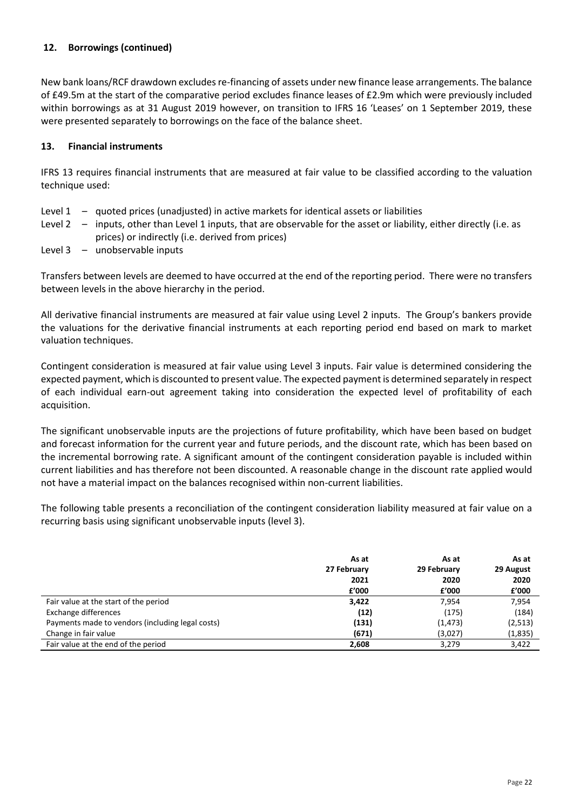# **12. Borrowings (continued)**

New bank loans/RCF drawdown excludes re-financing of assets under new finance lease arrangements. The balance of £49.5m at the start of the comparative period excludes finance leases of £2.9m which were previously included within borrowings as at 31 August 2019 however, on transition to IFRS 16 'Leases' on 1 September 2019, these were presented separately to borrowings on the face of the balance sheet.

## **13. Financial instruments**

IFRS 13 requires financial instruments that are measured at fair value to be classified according to the valuation technique used:

- Level 1 quoted prices (unadjusted) in active markets for identical assets or liabilities
- Level 2 inputs, other than Level 1 inputs, that are observable for the asset or liability, either directly (i.e. as prices) or indirectly (i.e. derived from prices)
- Level 3 unobservable inputs

Transfers between levels are deemed to have occurred at the end of the reporting period. There were no transfers between levels in the above hierarchy in the period.

All derivative financial instruments are measured at fair value using Level 2 inputs. The Group's bankers provide the valuations for the derivative financial instruments at each reporting period end based on mark to market valuation techniques.

Contingent consideration is measured at fair value using Level 3 inputs. Fair value is determined considering the expected payment, which is discounted to present value. The expected payment is determined separately in respect of each individual earn-out agreement taking into consideration the expected level of profitability of each acquisition.

The significant unobservable inputs are the projections of future profitability, which have been based on budget and forecast information for the current year and future periods, and the discount rate, which has been based on the incremental borrowing rate. A significant amount of the contingent consideration payable is included within current liabilities and has therefore not been discounted. A reasonable change in the discount rate applied would not have a material impact on the balances recognised within non-current liabilities.

The following table presents a reconciliation of the contingent consideration liability measured at fair value on a recurring basis using significant unobservable inputs (level 3).

|                                                  | As at       | As at       | As at     |
|--------------------------------------------------|-------------|-------------|-----------|
|                                                  | 27 February | 29 February | 29 August |
|                                                  | 2021        | 2020        | 2020      |
|                                                  | £'000       | f'000       | £'000     |
| Fair value at the start of the period            | 3,422       | 7.954       | 7,954     |
| Exchange differences                             | (12)        | (175)       | (184)     |
| Payments made to vendors (including legal costs) | (131)       | (1, 473)    | (2,513)   |
| Change in fair value                             | (671)       | (3,027)     | (1,835)   |
| Fair value at the end of the period              | 2.608       | 3.279       | 3,422     |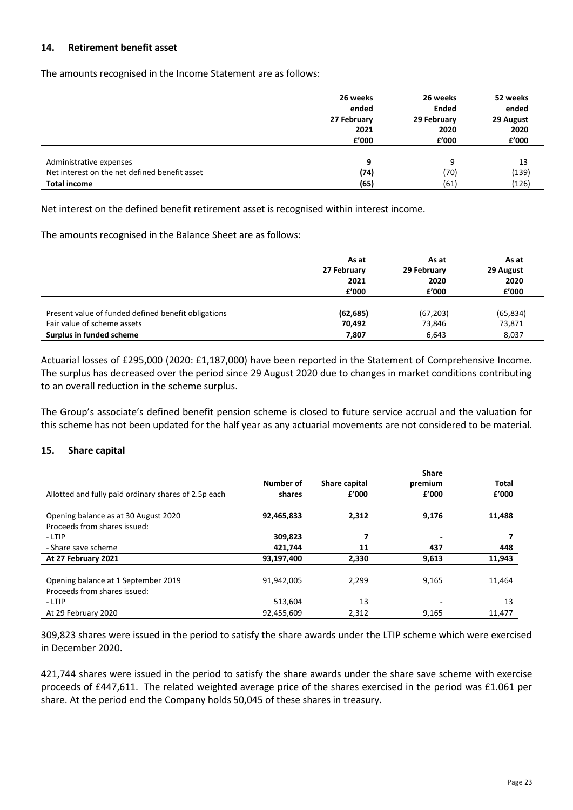## **14. Retirement benefit asset**

The amounts recognised in the Income Statement are as follows:

|                                               | 26 weeks<br>ended<br>27 February<br>2021 | 26 weeks<br><b>Ended</b><br>29 February<br>2020 | 52 weeks<br>ended<br>29 August<br>2020 |
|-----------------------------------------------|------------------------------------------|-------------------------------------------------|----------------------------------------|
|                                               | f'000                                    | £'000                                           | £'000                                  |
|                                               |                                          |                                                 |                                        |
| Administrative expenses                       | 9                                        | 9                                               | 13                                     |
| Net interest on the net defined benefit asset | (74)                                     | (70)                                            | (139)                                  |
| <b>Total income</b>                           | (65)                                     | (61)                                            | (126)                                  |

Net interest on the defined benefit retirement asset is recognised within interest income.

The amounts recognised in the Balance Sheet are as follows:

|                                                     | As at       | As at       | As at     |
|-----------------------------------------------------|-------------|-------------|-----------|
|                                                     | 27 February | 29 February | 29 August |
|                                                     | 2021        | 2020        | 2020      |
|                                                     | £'000       | f'000       | £'000     |
|                                                     |             |             |           |
| Present value of funded defined benefit obligations | (62, 685)   | (67, 203)   | (65, 834) |
| Fair value of scheme assets                         | 70,492      | 73,846      | 73,871    |
| Surplus in funded scheme                            | 7,807       | 6,643       | 8,037     |

Actuarial losses of £295,000 (2020: £1,187,000) have been reported in the Statement of Comprehensive Income. The surplus has decreased over the period since 29 August 2020 due to changes in market conditions contributing to an overall reduction in the scheme surplus.

The Group's associate's defined benefit pension scheme is closed to future service accrual and the valuation for this scheme has not been updated for the half year as any actuarial movements are not considered to be material.

## **15. Share capital**

|                                                      |            |               | <b>Share</b>             |              |
|------------------------------------------------------|------------|---------------|--------------------------|--------------|
|                                                      | Number of  | Share capital | premium                  | <b>Total</b> |
| Allotted and fully paid ordinary shares of 2.5p each | shares     | £'000         | f'000                    | £'000        |
|                                                      |            |               |                          |              |
| Opening balance as at 30 August 2020                 | 92,465,833 | 2,312         | 9,176                    | 11,488       |
| Proceeds from shares issued:                         |            |               |                          |              |
| - LTIP                                               | 309,823    | 7             | $\overline{\phantom{0}}$ |              |
| - Share save scheme                                  | 421,744    | 11            | 437                      | 448          |
| At 27 February 2021                                  | 93,197,400 | 2.330         | 9,613                    | 11,943       |
|                                                      |            |               |                          |              |
| Opening balance at 1 September 2019                  | 91.942.005 | 2.299         | 9,165                    | 11.464       |
| Proceeds from shares issued:                         |            |               |                          |              |
| - LTIP                                               | 513,604    | 13            | ٠                        | 13           |
| At 29 February 2020                                  | 92,455,609 | 2.312         | 9,165                    | 11.477       |

309,823 shares were issued in the period to satisfy the share awards under the LTIP scheme which were exercised in December 2020.

421,744 shares were issued in the period to satisfy the share awards under the share save scheme with exercise proceeds of £447,611. The related weighted average price of the shares exercised in the period was £1.061 per share. At the period end the Company holds 50,045 of these shares in treasury.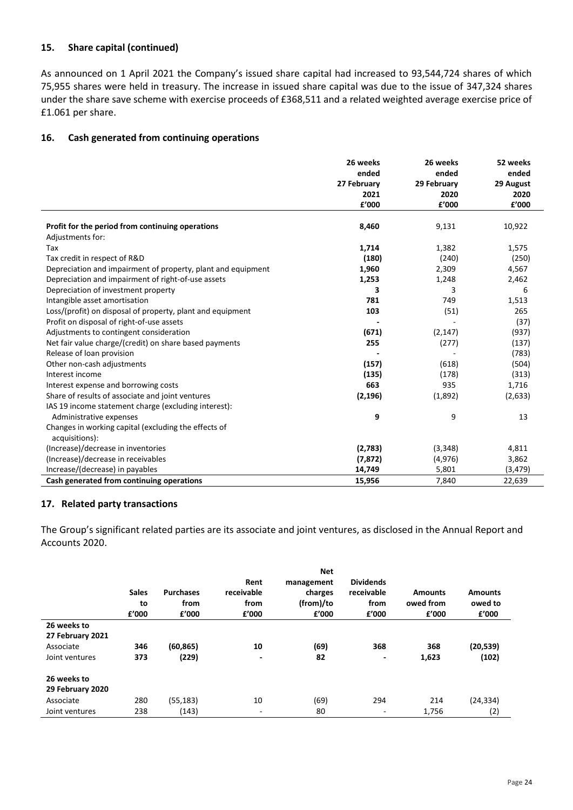# **15. Share capital (continued)**

As announced on 1 April 2021 the Company's issued share capital had increased to 93,544,724 shares of which 75,955 shares were held in treasury. The increase in issued share capital was due to the issue of 347,324 shares under the share save scheme with exercise proceeds of £368,511 and a related weighted average exercise price of £1.061 per share.

## **16. Cash generated from continuing operations**

|                                                              | 26 weeks    | 26 weeks    | 52 weeks  |
|--------------------------------------------------------------|-------------|-------------|-----------|
|                                                              | ended       | ended       | ended     |
|                                                              | 27 February | 29 February | 29 August |
|                                                              | 2021        | 2020        | 2020      |
|                                                              | £'000       | £'000       | f'000     |
| Profit for the period from continuing operations             | 8,460       | 9,131       | 10,922    |
| Adjustments for:                                             |             |             |           |
| Tax                                                          | 1,714       | 1,382       | 1,575     |
| Tax credit in respect of R&D                                 | (180)       | (240)       | (250)     |
| Depreciation and impairment of property, plant and equipment | 1,960       | 2,309       | 4,567     |
| Depreciation and impairment of right-of-use assets           | 1,253       | 1,248       | 2,462     |
| Depreciation of investment property                          | 3           | 3           | 6         |
| Intangible asset amortisation                                | 781         | 749         | 1,513     |
| Loss/(profit) on disposal of property, plant and equipment   | 103         | (51)        | 265       |
| Profit on disposal of right-of-use assets                    |             |             | (37)      |
| Adjustments to contingent consideration                      | (671)       | (2, 147)    | (937)     |
| Net fair value charge/(credit) on share based payments       | 255         | (277)       | (137)     |
| Release of loan provision                                    |             |             | (783)     |
| Other non-cash adjustments                                   | (157)       | (618)       | (504)     |
| Interest income                                              | (135)       | (178)       | (313)     |
| Interest expense and borrowing costs                         | 663         | 935         | 1,716     |
| Share of results of associate and joint ventures             | (2, 196)    | (1,892)     | (2,633)   |
| IAS 19 income statement charge (excluding interest):         |             |             |           |
| Administrative expenses                                      | 9           | 9           | 13        |
| Changes in working capital (excluding the effects of         |             |             |           |
| acquisitions):                                               |             |             |           |
| (Increase)/decrease in inventories                           | (2,783)     | (3,348)     | 4,811     |
| (Increase)/decrease in receivables                           | (7, 872)    | (4, 976)    | 3,862     |
| Increase/(decrease) in payables                              | 14,749      | 5,801       | (3, 479)  |
| Cash generated from continuing operations                    | 15,956      | 7,840       | 22,639    |

## **17. Related party transactions**

The Group's significant related parties are its associate and joint ventures, as disclosed in the Annual Report and Accounts 2020.

|                  | <b>Sales</b><br>to<br>£'000 | <b>Purchases</b><br>from<br>£'000 | Rent<br>receivable<br>from<br>£'000 | <b>Net</b><br>management<br>charges<br>(from)/to<br>£'000 | <b>Dividends</b><br>receivable<br>from<br>£'000 | <b>Amounts</b><br>owed from<br>£'000 | <b>Amounts</b><br>owed to<br>f'000 |
|------------------|-----------------------------|-----------------------------------|-------------------------------------|-----------------------------------------------------------|-------------------------------------------------|--------------------------------------|------------------------------------|
| 26 weeks to      |                             |                                   |                                     |                                                           |                                                 |                                      |                                    |
| 27 February 2021 |                             |                                   |                                     |                                                           |                                                 |                                      |                                    |
| Associate        | 346                         | (60, 865)                         | 10                                  | (69)                                                      | 368                                             | 368                                  | (20, 539)                          |
| Joint ventures   | 373                         | (229)                             | ٠                                   | 82                                                        | $\overline{\phantom{a}}$                        | 1,623                                | (102)                              |
| 26 weeks to      |                             |                                   |                                     |                                                           |                                                 |                                      |                                    |
| 29 February 2020 |                             |                                   |                                     |                                                           |                                                 |                                      |                                    |
| Associate        | 280                         | (55, 183)                         | 10                                  | (69)                                                      | 294                                             | 214                                  | (24, 334)                          |
| Joint ventures   | 238                         | (143)                             | ٠                                   | 80                                                        | $\overline{\phantom{a}}$                        | 1,756                                | (2)                                |